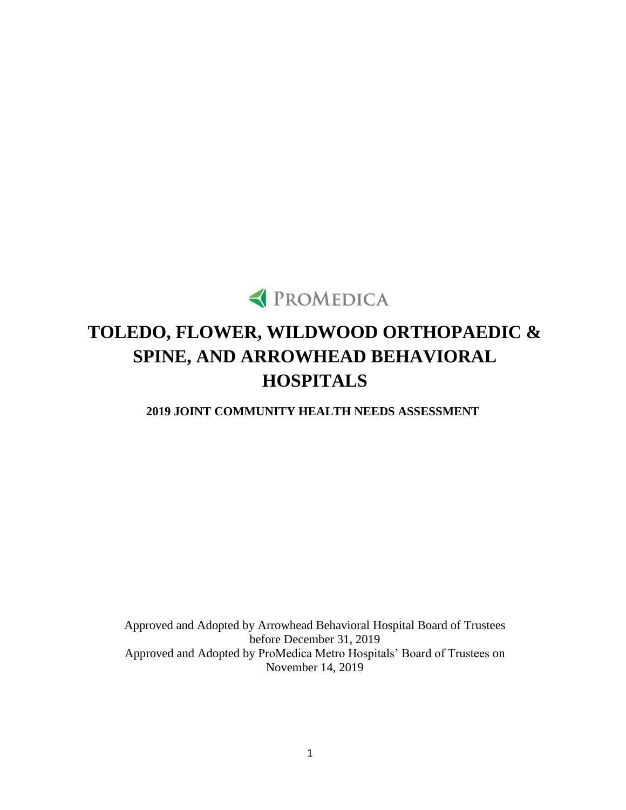

# **TOLEDO, FLOWER, WILDWOOD ORTHOPAEDIC & SPINE, AND ARROWHEAD BEHAVIORAL HOSPITALS**

**2019 JOINT COMMUNITY HEALTH NEEDS ASSESSMENT**

Approved and Adopted by Arrowhead Behavioral Hospital Board of Trustees before December 31, 2019 Approved and Adopted by ProMedica Metro Hospitals' Board of Trustees on November 14, 2019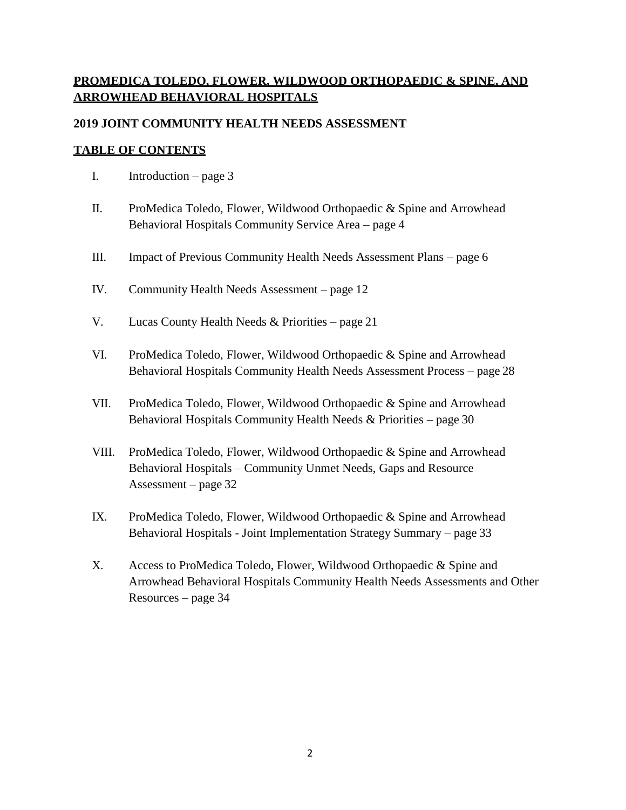# **PROMEDICA TOLEDO, FLOWER, WILDWOOD ORTHOPAEDIC & SPINE, AND ARROWHEAD BEHAVIORAL HOSPITALS**

#### **2019 JOINT COMMUNITY HEALTH NEEDS ASSESSMENT**

#### **TABLE OF CONTENTS**

- I. Introduction page 3
- II. ProMedica Toledo, Flower, Wildwood Orthopaedic & Spine and Arrowhead Behavioral Hospitals Community Service Area – page 4
- III. Impact of Previous Community Health Needs Assessment Plans page 6
- IV. Community Health Needs Assessment page 12
- V. Lucas County Health Needs  $&$  Priorities page 21
- VI. ProMedica Toledo, Flower, Wildwood Orthopaedic & Spine and Arrowhead Behavioral Hospitals Community Health Needs Assessment Process – page 28
- VII. ProMedica Toledo, Flower, Wildwood Orthopaedic & Spine and Arrowhead Behavioral Hospitals Community Health Needs & Priorities – page 30
- VIII. ProMedica Toledo, Flower, Wildwood Orthopaedic & Spine and Arrowhead Behavioral Hospitals – Community Unmet Needs, Gaps and Resource Assessment – page 32
- IX. ProMedica Toledo, Flower, Wildwood Orthopaedic & Spine and Arrowhead Behavioral Hospitals - Joint Implementation Strategy Summary – page 33
- X. Access to ProMedica Toledo, Flower, Wildwood Orthopaedic & Spine and Arrowhead Behavioral Hospitals Community Health Needs Assessments and Other Resources – page 34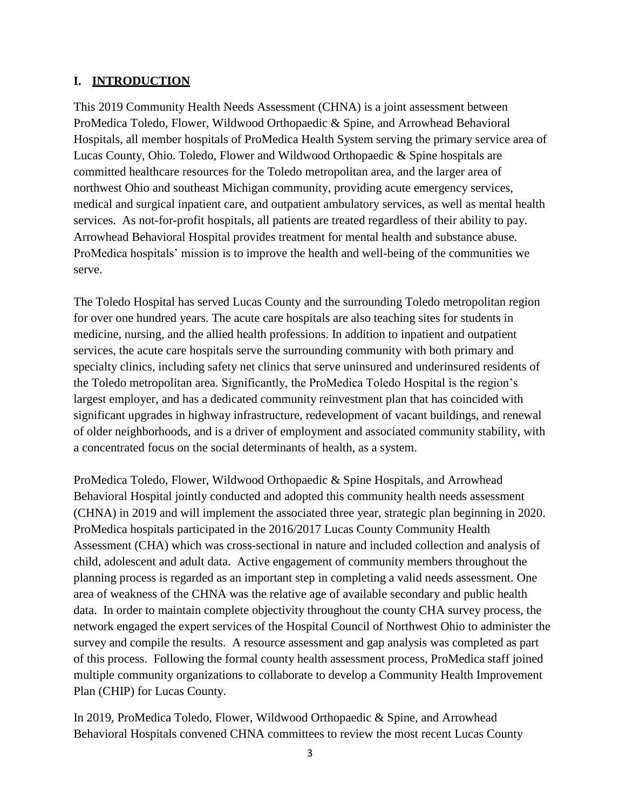### **I. INTRODUCTION**

This 2019 Community Health Needs Assessment (CHNA) is a joint assessment between ProMedica Toledo, Flower, Wildwood Orthopaedic & Spine, and Arrowhead Behavioral Hospitals, all member hospitals of ProMedica Health System serving the primary service area of Lucas County, Ohio. Toledo, Flower and Wildwood Orthopaedic & Spine hospitals are committed healthcare resources for the Toledo metropolitan area, and the larger area of northwest Ohio and southeast Michigan community, providing acute emergency services, medical and surgical inpatient care, and outpatient ambulatory services, as well as mental health services. As not-for-profit hospitals, all patients are treated regardless of their ability to pay. Arrowhead Behavioral Hospital provides treatment for mental health and substance abuse. ProMedica hospitals' mission is to improve the health and well-being of the communities we serve.

The Toledo Hospital has served Lucas County and the surrounding Toledo metropolitan region for over one hundred years. The acute care hospitals are also teaching sites for students in medicine, nursing, and the allied health professions. In addition to inpatient and outpatient services, the acute care hospitals serve the surrounding community with both primary and specialty clinics, including safety net clinics that serve uninsured and underinsured residents of the Toledo metropolitan area. Significantly, the ProMedica Toledo Hospital is the region's largest employer, and has a dedicated community reinvestment plan that has coincided with significant upgrades in highway infrastructure, redevelopment of vacant buildings, and renewal of older neighborhoods, and is a driver of employment and associated community stability, with a concentrated focus on the social determinants of health, as a system.

ProMedica Toledo, Flower, Wildwood Orthopaedic & Spine Hospitals, and Arrowhead Behavioral Hospital jointly conducted and adopted this community health needs assessment (CHNA) in 2019 and will implement the associated three year, strategic plan beginning in 2020. ProMedica hospitals participated in the 2016/2017 Lucas County Community Health Assessment (CHA) which was cross-sectional in nature and included collection and analysis of child, adolescent and adult data. Active engagement of community members throughout the planning process is regarded as an important step in completing a valid needs assessment. One area of weakness of the CHNA was the relative age of available secondary and public health data. In order to maintain complete objectivity throughout the county CHA survey process, the network engaged the expert services of the Hospital Council of Northwest Ohio to administer the survey and compile the results. A resource assessment and gap analysis was completed as part of this process. Following the formal county health assessment process, ProMedica staff joined multiple community organizations to collaborate to develop a Community Health Improvement Plan (CHIP) for Lucas County.

In 2019, ProMedica Toledo, Flower, Wildwood Orthopaedic & Spine, and Arrowhead Behavioral Hospitals convened CHNA committees to review the most recent Lucas County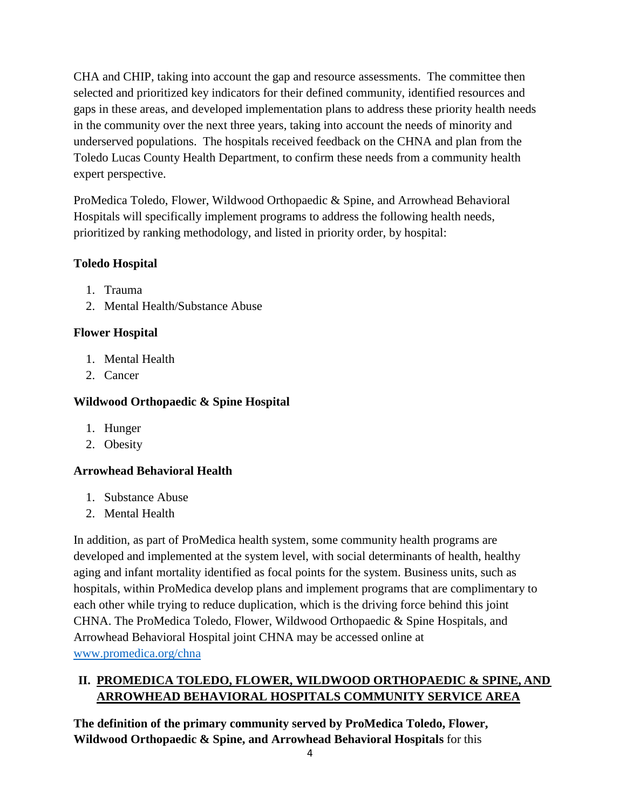CHA and CHIP, taking into account the gap and resource assessments. The committee then selected and prioritized key indicators for their defined community, identified resources and gaps in these areas, and developed implementation plans to address these priority health needs in the community over the next three years, taking into account the needs of minority and underserved populations. The hospitals received feedback on the CHNA and plan from the Toledo Lucas County Health Department, to confirm these needs from a community health expert perspective.

ProMedica Toledo, Flower, Wildwood Orthopaedic & Spine, and Arrowhead Behavioral Hospitals will specifically implement programs to address the following health needs, prioritized by ranking methodology, and listed in priority order, by hospital:

# **Toledo Hospital**

- 1. Trauma
- 2. Mental Health/Substance Abuse

# **Flower Hospital**

- 1. Mental Health
- 2. Cancer

### **Wildwood Orthopaedic & Spine Hospital**

- 1. Hunger
- 2. Obesity

# **Arrowhead Behavioral Health**

- 1. Substance Abuse
- 2. Mental Health

In addition, as part of ProMedica health system, some community health programs are developed and implemented at the system level, with social determinants of health, healthy aging and infant mortality identified as focal points for the system. Business units, such as hospitals, within ProMedica develop plans and implement programs that are complimentary to each other while trying to reduce duplication, which is the driving force behind this joint CHNA. The ProMedica Toledo, Flower, Wildwood Orthopaedic & Spine Hospitals, and Arrowhead Behavioral Hospital joint CHNA may be accessed online at [www.promedica.org/chna](http://www.promedica.org/chna)

# **II. PROMEDICA TOLEDO, FLOWER, WILDWOOD ORTHOPAEDIC & SPINE, AND ARROWHEAD BEHAVIORAL HOSPITALS COMMUNITY SERVICE AREA**

**The definition of the primary community served by ProMedica Toledo, Flower, Wildwood Orthopaedic & Spine, and Arrowhead Behavioral Hospitals** for this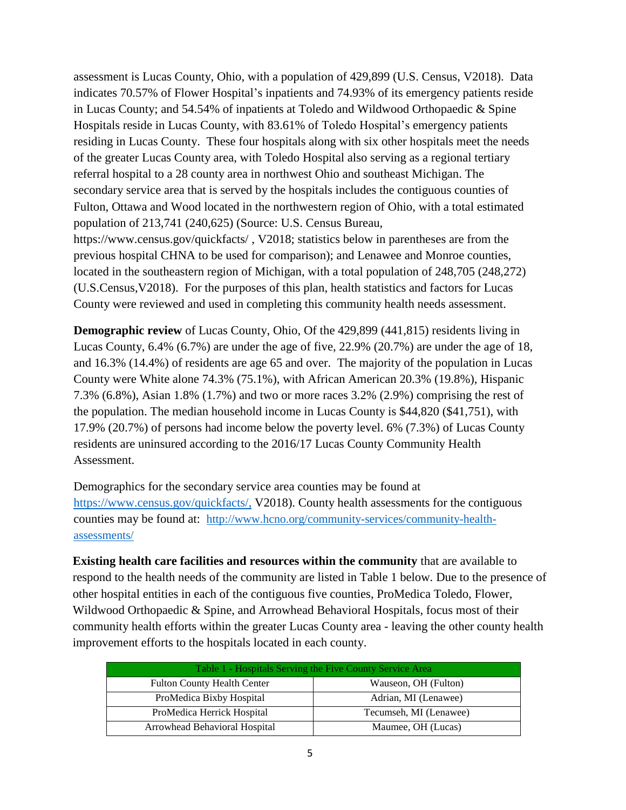assessment is Lucas County, Ohio, with a population of 429,899 (U.S. Census, V2018). Data indicates 70.57% of Flower Hospital's inpatients and 74.93% of its emergency patients reside in Lucas County; and 54.54% of inpatients at Toledo and Wildwood Orthopaedic & Spine Hospitals reside in Lucas County, with 83.61% of Toledo Hospital's emergency patients residing in Lucas County. These four hospitals along with six other hospitals meet the needs of the greater Lucas County area, with Toledo Hospital also serving as a regional tertiary referral hospital to a 28 county area in northwest Ohio and southeast Michigan. The secondary service area that is served by the hospitals includes the contiguous counties of Fulton, Ottawa and Wood located in the northwestern region of Ohio, with a total estimated population of 213,741 (240,625) (Source: U.S. Census Bureau, <https://www.census.gov/quickfacts/> , V2018; statistics below in parentheses are from the previous hospital CHNA to be used for comparison); and Lenawee and Monroe counties,

located in the southeastern region of Michigan, with a total population of 248,705 (248,272) (U.S.Census,V2018). For the purposes of this plan, health statistics and factors for Lucas County were reviewed and used in completing this community health needs assessment.

**Demographic review** of Lucas County, Ohio, Of the 429,899 (441,815) residents living in Lucas County, 6.4% (6.7%) are under the age of five, 22.9% (20.7%) are under the age of 18, and 16.3% (14.4%) of residents are age 65 and over. The majority of the population in Lucas County were White alone 74.3% (75.1%), with African American 20.3% (19.8%), Hispanic 7.3% (6.8%), Asian 1.8% (1.7%) and two or more races 3.2% (2.9%) comprising the rest of the population. The median household income in Lucas County is \$44,820 (\$41,751), with 17.9% (20.7%) of persons had income below the poverty level. 6% (7.3%) of Lucas County residents are uninsured according to the 2016/17 Lucas County Community Health Assessment.

Demographics for the secondary service area counties may be found at [https://www.census.gov/quickfacts/,](https://www.census.gov/quickfacts/fact/table/lenaweecountymichigan,US/PST045218) V2018). County health assessments for the contiguous counties may be found at: http://www.hcno.org/community-services/community-healthassessments/

**Existing health care facilities and resources within the community** that are available to respond to the health needs of the community are listed in Table 1 below. Due to the presence of other hospital entities in each of the contiguous five counties, ProMedica Toledo, Flower, Wildwood Orthopaedic & Spine, and Arrowhead Behavioral Hospitals, focus most of their community health efforts within the greater Lucas County area - leaving the other county health improvement efforts to the hospitals located in each county.

| Table 1 - Hospitals Serving the Five County Service Area   |                        |  |  |
|------------------------------------------------------------|------------------------|--|--|
| <b>Fulton County Health Center</b><br>Wauseon, OH (Fulton) |                        |  |  |
| ProMedica Bixby Hospital                                   | Adrian, MI (Lenawee)   |  |  |
| ProMedica Herrick Hospital                                 | Tecumseh, MI (Lenawee) |  |  |
| Arrowhead Behavioral Hospital                              | Maumee, OH (Lucas)     |  |  |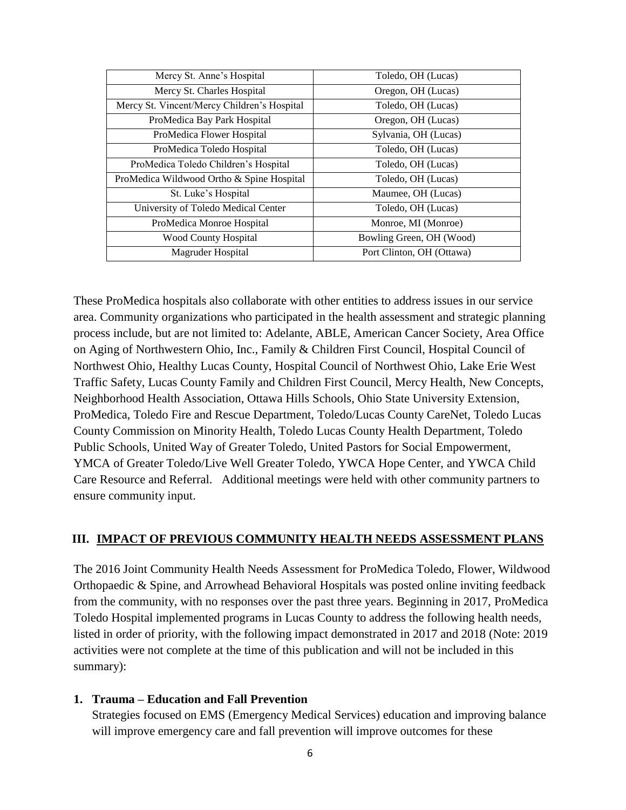| Mercy St. Anne's Hospital                   | Toledo, OH (Lucas)        |  |
|---------------------------------------------|---------------------------|--|
| Mercy St. Charles Hospital                  | Oregon, OH (Lucas)        |  |
| Mercy St. Vincent/Mercy Children's Hospital | Toledo, OH (Lucas)        |  |
| ProMedica Bay Park Hospital                 | Oregon, OH (Lucas)        |  |
| ProMedica Flower Hospital                   | Sylvania, OH (Lucas)      |  |
| ProMedica Toledo Hospital                   | Toledo, OH (Lucas)        |  |
| ProMedica Toledo Children's Hospital        | Toledo, OH (Lucas)        |  |
| ProMedica Wildwood Ortho & Spine Hospital   | Toledo, OH (Lucas)        |  |
| St. Luke's Hospital                         | Maumee, OH (Lucas)        |  |
| University of Toledo Medical Center         | Toledo, OH (Lucas)        |  |
| ProMedica Monroe Hospital                   | Monroe, MI (Monroe)       |  |
| Wood County Hospital                        | Bowling Green, OH (Wood)  |  |
| Magruder Hospital                           | Port Clinton, OH (Ottawa) |  |

These ProMedica hospitals also collaborate with other entities to address issues in our service area. Community organizations who participated in the health assessment and strategic planning process include, but are not limited to: Adelante, ABLE, American Cancer Society, Area Office on Aging of Northwestern Ohio, Inc., Family & Children First Council, Hospital Council of Northwest Ohio, Healthy Lucas County, Hospital Council of Northwest Ohio, Lake Erie West Traffic Safety, Lucas County Family and Children First Council, Mercy Health, New Concepts, Neighborhood Health Association, Ottawa Hills Schools, Ohio State University Extension, ProMedica, Toledo Fire and Rescue Department, Toledo/Lucas County CareNet, Toledo Lucas County Commission on Minority Health, Toledo Lucas County Health Department, Toledo Public Schools, United Way of Greater Toledo, United Pastors for Social Empowerment, YMCA of Greater Toledo/Live Well Greater Toledo, YWCA Hope Center, and YWCA Child Care Resource and Referral. Additional meetings were held with other community partners to ensure community input.

#### **III. IMPACT OF PREVIOUS COMMUNITY HEALTH NEEDS ASSESSMENT PLANS**

The 2016 Joint Community Health Needs Assessment for ProMedica Toledo, Flower, Wildwood Orthopaedic & Spine, and Arrowhead Behavioral Hospitals was posted online inviting feedback from the community, with no responses over the past three years. Beginning in 2017, ProMedica Toledo Hospital implemented programs in Lucas County to address the following health needs, listed in order of priority, with the following impact demonstrated in 2017 and 2018 (Note: 2019 activities were not complete at the time of this publication and will not be included in this summary):

#### **1. Trauma – Education and Fall Prevention**

Strategies focused on EMS (Emergency Medical Services) education and improving balance will improve emergency care and fall prevention will improve outcomes for these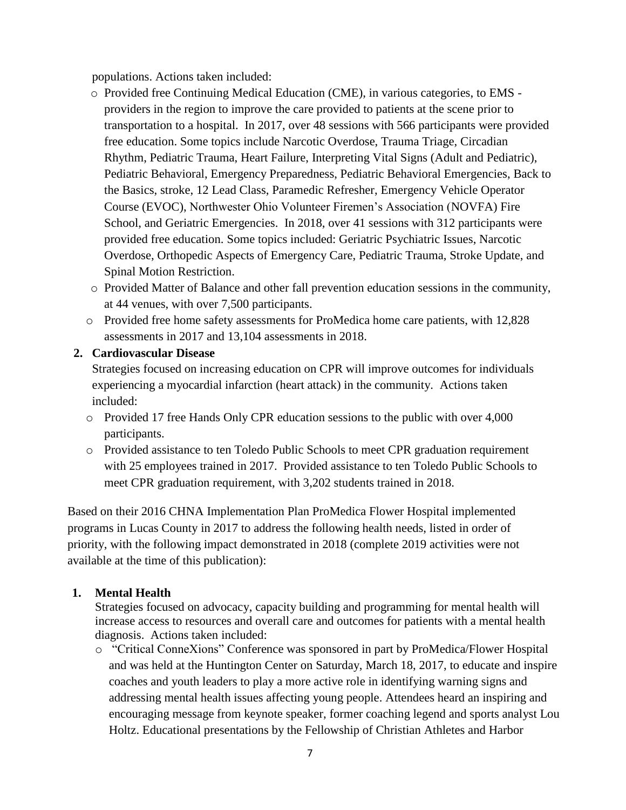populations. Actions taken included:

- o Provided free Continuing Medical Education (CME), in various categories, to EMS providers in the region to improve the care provided to patients at the scene prior to transportation to a hospital. In 2017, over 48 sessions with 566 participants were provided free education. Some topics include Narcotic Overdose, Trauma Triage, Circadian Rhythm, Pediatric Trauma, Heart Failure, Interpreting Vital Signs (Adult and Pediatric), Pediatric Behavioral, Emergency Preparedness, Pediatric Behavioral Emergencies, Back to the Basics, stroke, 12 Lead Class, Paramedic Refresher, Emergency Vehicle Operator Course (EVOC), Northwester Ohio Volunteer Firemen's Association (NOVFA) Fire School, and Geriatric Emergencies. In 2018, over 41 sessions with 312 participants were provided free education. Some topics included: Geriatric Psychiatric Issues, Narcotic Overdose, Orthopedic Aspects of Emergency Care, Pediatric Trauma, Stroke Update, and Spinal Motion Restriction.
- o Provided Matter of Balance and other fall prevention education sessions in the community, at 44 venues, with over 7,500 participants.
- o Provided free home safety assessments for ProMedica home care patients, with 12,828 assessments in 2017 and 13,104 assessments in 2018.

### **2. Cardiovascular Disease**

Strategies focused on increasing education on CPR will improve outcomes for individuals experiencing a myocardial infarction (heart attack) in the community. Actions taken included:

- o Provided 17 free Hands Only CPR education sessions to the public with over 4,000 participants.
- o Provided assistance to ten Toledo Public Schools to meet CPR graduation requirement with 25 employees trained in 2017. Provided assistance to ten Toledo Public Schools to meet CPR graduation requirement, with 3,202 students trained in 2018.

Based on their 2016 CHNA Implementation Plan ProMedica Flower Hospital implemented programs in Lucas County in 2017 to address the following health needs, listed in order of priority, with the following impact demonstrated in 2018 (complete 2019 activities were not available at the time of this publication):

# **1. Mental Health**

Strategies focused on advocacy, capacity building and programming for mental health will increase access to resources and overall care and outcomes for patients with a mental health diagnosis. Actions taken included:

o "Critical ConneXions" Conference was sponsored in part by ProMedica/Flower Hospital and was held at the Huntington Center on Saturday, March 18, 2017, to educate and inspire coaches and youth leaders to play a more active role in identifying warning signs and addressing mental health issues affecting young people. Attendees heard an inspiring and encouraging message from keynote speaker, former coaching legend and sports analyst Lou Holtz. Educational presentations by the Fellowship of Christian Athletes and Harbor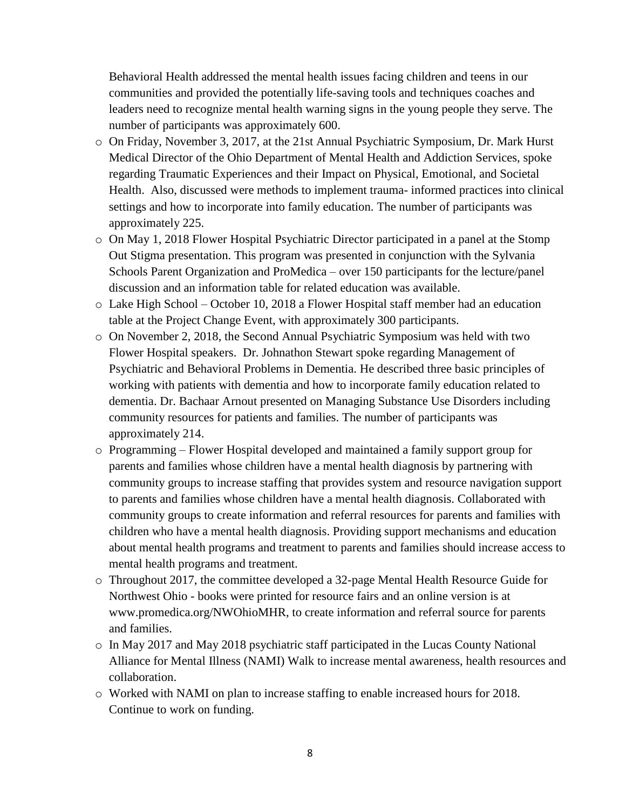Behavioral Health addressed the mental health issues facing children and teens in our communities and provided the potentially life-saving tools and techniques coaches and leaders need to recognize mental health warning signs in the young people they serve. The number of participants was approximately 600.

- o On Friday, November 3, 2017, at the 21st Annual Psychiatric Symposium, Dr. Mark Hurst Medical Director of the Ohio Department of Mental Health and Addiction Services, spoke regarding Traumatic Experiences and their Impact on Physical, Emotional, and Societal Health. Also, discussed were methods to implement trauma- informed practices into clinical settings and how to incorporate into family education. The number of participants was approximately 225.
- o On May 1, 2018 Flower Hospital Psychiatric Director participated in a panel at the Stomp Out Stigma presentation. This program was presented in conjunction with the Sylvania Schools Parent Organization and ProMedica – over 150 participants for the lecture/panel discussion and an information table for related education was available.
- o Lake High School October 10, 2018 a Flower Hospital staff member had an education table at the Project Change Event, with approximately 300 participants.
- o On November 2, 2018, the Second Annual Psychiatric Symposium was held with two Flower Hospital speakers. Dr. Johnathon Stewart spoke regarding Management of Psychiatric and Behavioral Problems in Dementia. He described three basic principles of working with patients with dementia and how to incorporate family education related to dementia. Dr. Bachaar Arnout presented on Managing Substance Use Disorders including community resources for patients and families. The number of participants was approximately 214.
- o Programming Flower Hospital developed and maintained a family support group for parents and families whose children have a mental health diagnosis by partnering with community groups to increase staffing that provides system and resource navigation support to parents and families whose children have a mental health diagnosis. Collaborated with community groups to create information and referral resources for parents and families with children who have a mental health diagnosis. Providing support mechanisms and education about mental health programs and treatment to parents and families should increase access to mental health programs and treatment.
- o Throughout 2017, the committee developed a 32-page Mental Health Resource Guide for Northwest Ohio - books were printed for resource fairs and an online version is at [www.promedica.org/NWOhioMHR,](http://www.promedica.org/NWOhioMHR) to create information and referral source for parents and families.
- $\circ$  In May 2017 and May 2018 psychiatric staff participated in the Lucas County National Alliance for Mental Illness (NAMI) Walk to increase mental awareness, health resources and collaboration.
- o Worked with NAMI on plan to increase staffing to enable increased hours for 2018. Continue to work on funding.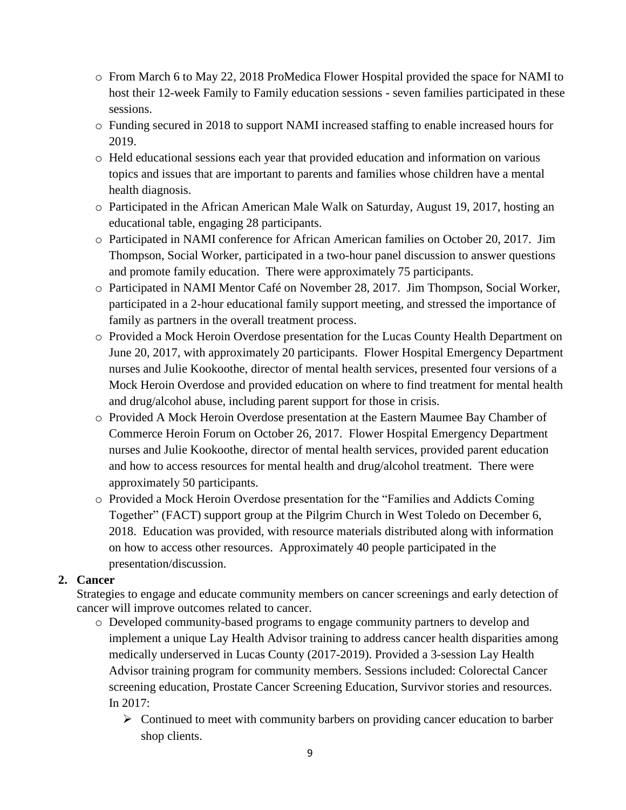- o From March 6 to May 22, 2018 ProMedica Flower Hospital provided the space for NAMI to host their 12-week Family to Family education sessions - seven families participated in these sessions.
- o Funding secured in 2018 to support NAMI increased staffing to enable increased hours for 2019.
- o Held educational sessions each year that provided education and information on various topics and issues that are important to parents and families whose children have a mental health diagnosis.
- o Participated in the African American Male Walk on Saturday, August 19, 2017, hosting an educational table, engaging 28 participants.
- o Participated in NAMI conference for African American families on October 20, 2017. Jim Thompson, Social Worker, participated in a two-hour panel discussion to answer questions and promote family education. There were approximately 75 participants.
- o Participated in NAMI Mentor Café on November 28, 2017. Jim Thompson, Social Worker, participated in a 2-hour educational family support meeting, and stressed the importance of family as partners in the overall treatment process.
- o Provided a Mock Heroin Overdose presentation for the Lucas County Health Department on June 20, 2017, with approximately 20 participants. Flower Hospital Emergency Department nurses and Julie Kookoothe, director of mental health services, presented four versions of a Mock Heroin Overdose and provided education on where to find treatment for mental health and drug/alcohol abuse, including parent support for those in crisis.
- o Provided A Mock Heroin Overdose presentation at the Eastern Maumee Bay Chamber of Commerce Heroin Forum on October 26, 2017. Flower Hospital Emergency Department nurses and Julie Kookoothe, director of mental health services, provided parent education and how to access resources for mental health and drug/alcohol treatment. There were approximately 50 participants.
- o Provided a Mock Heroin Overdose presentation for the "Families and Addicts Coming Together" (FACT) support group at the Pilgrim Church in West Toledo on December 6, 2018. Education was provided, with resource materials distributed along with information on how to access other resources. Approximately 40 people participated in the presentation/discussion.

# **2. Cancer**

Strategies to engage and educate community members on cancer screenings and early detection of cancer will improve outcomes related to cancer.

- o Developed community-based programs to engage community partners to develop and implement a unique Lay Health Advisor training to address cancer health disparities among medically underserved in Lucas County (2017-2019). Provided a 3-session Lay Health Advisor training program for community members. Sessions included: Colorectal Cancer screening education, Prostate Cancer Screening Education, Survivor stories and resources. In 2017:
	- $\triangleright$  Continued to meet with community barbers on providing cancer education to barber shop clients.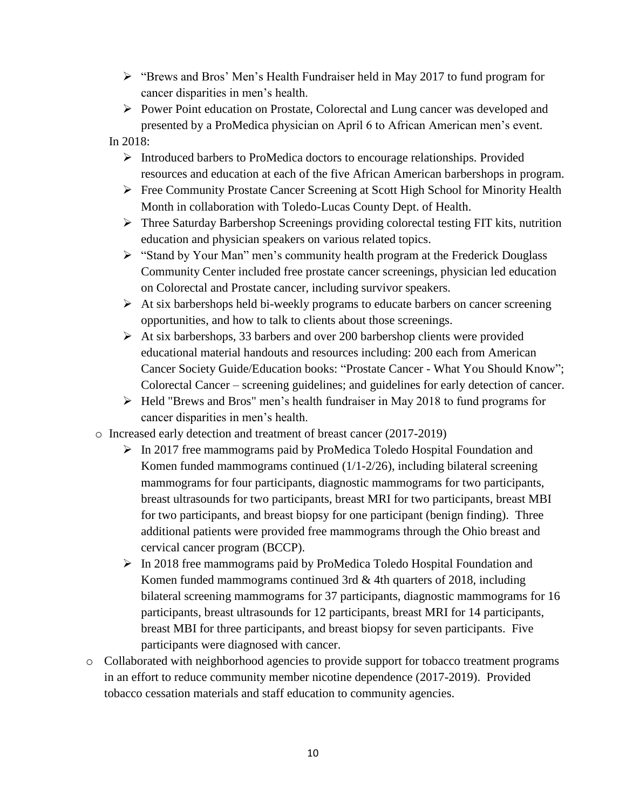- "Brews and Bros' Men's Health Fundraiser held in May 2017 to fund program for cancer disparities in men's health.
- $\triangleright$  Power Point education on Prostate, Colorectal and Lung cancer was developed and presented by a ProMedica physician on April 6 to African American men's event.

In 2018:

- $\triangleright$  Introduced barbers to ProMedica doctors to encourage relationships. Provided resources and education at each of the five African American barbershops in program.
- Free Community Prostate Cancer Screening at Scott High School for Minority Health Month in collaboration with Toledo-Lucas County Dept. of Health.
- $\triangleright$  Three Saturday Barbershop Screenings providing colorectal testing FIT kits, nutrition education and physician speakers on various related topics.
- $\triangleright$  "Stand by Your Man" men's community health program at the Frederick Douglass Community Center included free prostate cancer screenings, physician led education on Colorectal and Prostate cancer, including survivor speakers.
- $\triangleright$  At six barbershops held bi-weekly programs to educate barbers on cancer screening opportunities, and how to talk to clients about those screenings.
- $\triangleright$  At six barbershops, 33 barbers and over 200 barbershop clients were provided educational material handouts and resources including: 200 each from American Cancer Society Guide/Education books: "Prostate Cancer - What You Should Know"; Colorectal Cancer – screening guidelines; and guidelines for early detection of cancer.
- $\triangleright$  Held "Brews and Bros" men's health fundraiser in May 2018 to fund programs for cancer disparities in men's health.
- o Increased early detection and treatment of breast cancer (2017-2019)
	- $\triangleright$  In 2017 free mammograms paid by ProMedica Toledo Hospital Foundation and Komen funded mammograms continued (1/1-2/26), including bilateral screening mammograms for four participants, diagnostic mammograms for two participants, breast ultrasounds for two participants, breast MRI for two participants, breast MBI for two participants, and breast biopsy for one participant (benign finding). Three additional patients were provided free mammograms through the Ohio breast and cervical cancer program (BCCP).
	- $\triangleright$  In 2018 free mammograms paid by ProMedica Toledo Hospital Foundation and Komen funded mammograms continued 3rd & 4th quarters of 2018, including bilateral screening mammograms for 37 participants, diagnostic mammograms for 16 participants, breast ultrasounds for 12 participants, breast MRI for 14 participants, breast MBI for three participants, and breast biopsy for seven participants. Five participants were diagnosed with cancer.
- o Collaborated with neighborhood agencies to provide support for tobacco treatment programs in an effort to reduce community member nicotine dependence (2017-2019). Provided tobacco cessation materials and staff education to community agencies.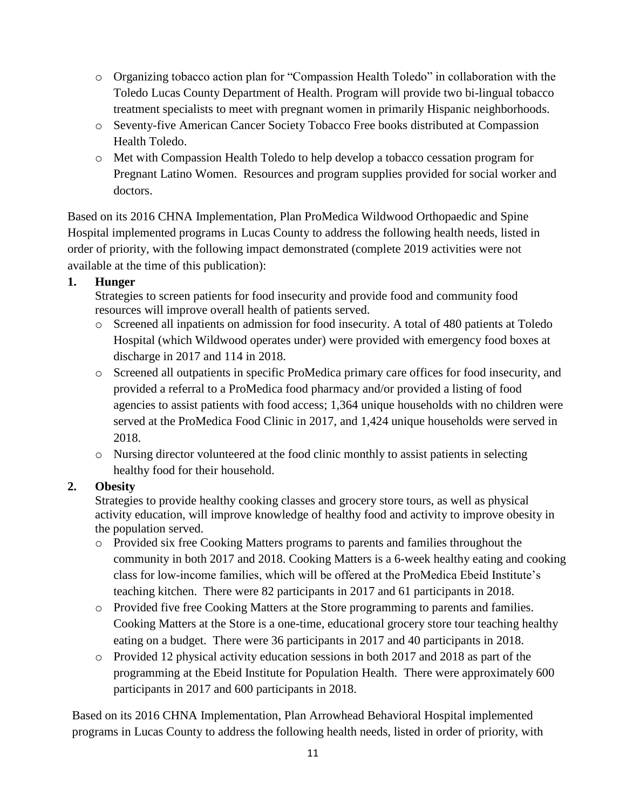- o Organizing tobacco action plan for "Compassion Health Toledo" in collaboration with the Toledo Lucas County Department of Health. Program will provide two bi-lingual tobacco treatment specialists to meet with pregnant women in primarily Hispanic neighborhoods.
- o Seventy-five American Cancer Society Tobacco Free books distributed at Compassion Health Toledo.
- o Met with Compassion Health Toledo to help develop a tobacco cessation program for Pregnant Latino Women. Resources and program supplies provided for social worker and doctors.

Based on its 2016 CHNA Implementation, Plan ProMedica Wildwood Orthopaedic and Spine Hospital implemented programs in Lucas County to address the following health needs, listed in order of priority, with the following impact demonstrated (complete 2019 activities were not available at the time of this publication):

# **1. Hunger**

Strategies to screen patients for food insecurity and provide food and community food resources will improve overall health of patients served.

- o Screened all inpatients on admission for food insecurity. A total of 480 patients at Toledo Hospital (which Wildwood operates under) were provided with emergency food boxes at discharge in 2017 and 114 in 2018.
- o Screened all outpatients in specific ProMedica primary care offices for food insecurity, and provided a referral to a ProMedica food pharmacy and/or provided a listing of food agencies to assist patients with food access; 1,364 unique households with no children were served at the ProMedica Food Clinic in 2017, and 1,424 unique households were served in 2018.
- o Nursing director volunteered at the food clinic monthly to assist patients in selecting healthy food for their household.

# **2. Obesity**

Strategies to provide healthy cooking classes and grocery store tours, as well as physical activity education, will improve knowledge of healthy food and activity to improve obesity in the population served.

- o Provided six free Cooking Matters programs to parents and families throughout the community in both 2017 and 2018. Cooking Matters is a 6-week healthy eating and cooking class for low-income families, which will be offered at the ProMedica Ebeid Institute's teaching kitchen. There were 82 participants in 2017 and 61 participants in 2018.
- o Provided five free Cooking Matters at the Store programming to parents and families. Cooking Matters at the Store is a one-time, educational grocery store tour teaching healthy eating on a budget. There were 36 participants in 2017 and 40 participants in 2018.
- o Provided 12 physical activity education sessions in both 2017 and 2018 as part of the programming at the Ebeid Institute for Population Health. There were approximately 600 participants in 2017 and 600 participants in 2018.

Based on its 2016 CHNA Implementation, Plan Arrowhead Behavioral Hospital implemented programs in Lucas County to address the following health needs, listed in order of priority, with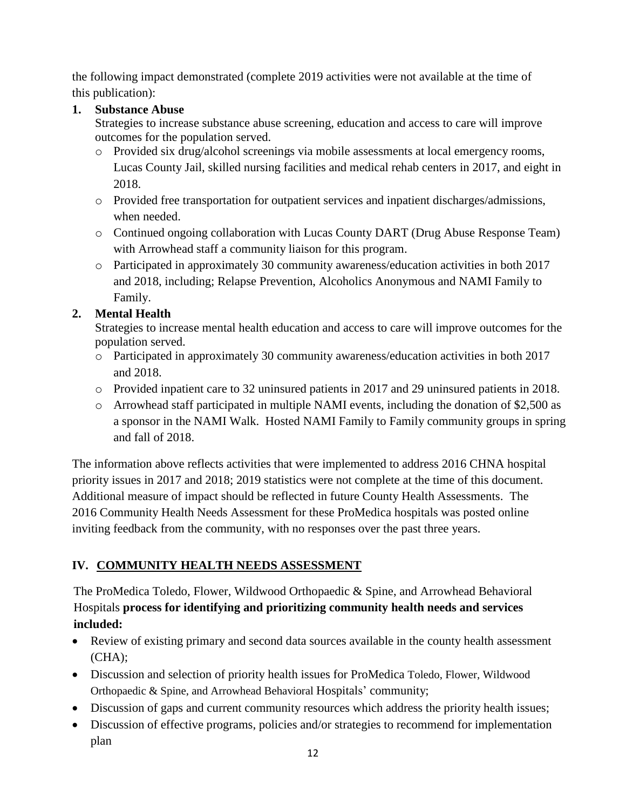the following impact demonstrated (complete 2019 activities were not available at the time of this publication):

# **1. Substance Abuse**

Strategies to increase substance abuse screening, education and access to care will improve outcomes for the population served.

- o Provided six drug/alcohol screenings via mobile assessments at local emergency rooms, Lucas County Jail, skilled nursing facilities and medical rehab centers in 2017, and eight in 2018.
- o Provided free transportation for outpatient services and inpatient discharges/admissions, when needed.
- o Continued ongoing collaboration with Lucas County DART (Drug Abuse Response Team) with Arrowhead staff a community liaison for this program.
- o Participated in approximately 30 community awareness/education activities in both 2017 and 2018, including; Relapse Prevention, Alcoholics Anonymous and NAMI Family to Family.

# **2. Mental Health**

Strategies to increase mental health education and access to care will improve outcomes for the population served.

- o Participated in approximately 30 community awareness/education activities in both 2017 and 2018.
- o Provided inpatient care to 32 uninsured patients in 2017 and 29 uninsured patients in 2018.
- o Arrowhead staff participated in multiple NAMI events, including the donation of \$2,500 as a sponsor in the NAMI Walk. Hosted NAMI Family to Family community groups in spring and fall of 2018.

The information above reflects activities that were implemented to address 2016 CHNA hospital priority issues in 2017 and 2018; 2019 statistics were not complete at the time of this document. Additional measure of impact should be reflected in future County Health Assessments. The 2016 Community Health Needs Assessment for these ProMedica hospitals was posted online inviting feedback from the community, with no responses over the past three years.

# **IV. COMMUNITY HEALTH NEEDS ASSESSMENT**

The ProMedica Toledo, Flower, Wildwood Orthopaedic & Spine, and Arrowhead Behavioral Hospitals **process for identifying and prioritizing community health needs and services included:**

- Review of existing primary and second data sources available in the county health assessment (CHA);
- Discussion and selection of priority health issues for ProMedica Toledo, Flower, Wildwood Orthopaedic & Spine, and Arrowhead Behavioral Hospitals' community;
- Discussion of gaps and current community resources which address the priority health issues;
- Discussion of effective programs, policies and/or strategies to recommend for implementation plan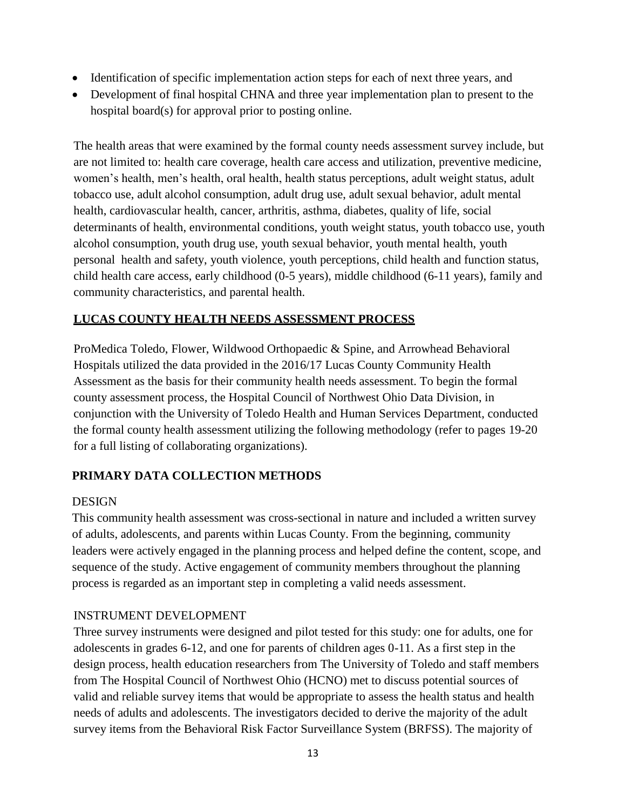- Identification of specific implementation action steps for each of next three years, and
- Development of final hospital CHNA and three year implementation plan to present to the hospital board(s) for approval prior to posting online.

The health areas that were examined by the formal county needs assessment survey include, but are not limited to: health care coverage, health care access and utilization, preventive medicine, women's health, men's health, oral health, health status perceptions, adult weight status, adult tobacco use, adult alcohol consumption, adult drug use, adult sexual behavior, adult mental health, cardiovascular health, cancer, arthritis, asthma, diabetes, quality of life, social determinants of health, environmental conditions, youth weight status, youth tobacco use, youth alcohol consumption, youth drug use, youth sexual behavior, youth mental health, youth personal health and safety, youth violence, youth perceptions, child health and function status, child health care access, early childhood (0-5 years), middle childhood (6-11 years), family and community characteristics, and parental health.

### **LUCAS COUNTY HEALTH NEEDS ASSESSMENT PROCESS**

ProMedica Toledo, Flower, Wildwood Orthopaedic & Spine, and Arrowhead Behavioral Hospitals utilized the data provided in the 2016/17 Lucas County Community Health Assessment as the basis for their community health needs assessment. To begin the formal county assessment process, the Hospital Council of Northwest Ohio Data Division, in conjunction with the University of Toledo Health and Human Services Department, conducted the formal county health assessment utilizing the following methodology (refer to pages 19-20 for a full listing of collaborating organizations).

# **PRIMARY DATA COLLECTION METHODS**

### DESIGN

This community health assessment was cross-sectional in nature and included a written survey of adults, adolescents, and parents within Lucas County. From the beginning, community leaders were actively engaged in the planning process and helped define the content, scope, and sequence of the study. Active engagement of community members throughout the planning process is regarded as an important step in completing a valid needs assessment.

### INSTRUMENT DEVELOPMENT

Three survey instruments were designed and pilot tested for this study: one for adults, one for adolescents in grades 6-12, and one for parents of children ages 0-11. As a first step in the design process, health education researchers from The University of Toledo and staff members from The Hospital Council of Northwest Ohio (HCNO) met to discuss potential sources of valid and reliable survey items that would be appropriate to assess the health status and health needs of adults and adolescents. The investigators decided to derive the majority of the adult survey items from the Behavioral Risk Factor Surveillance System (BRFSS). The majority of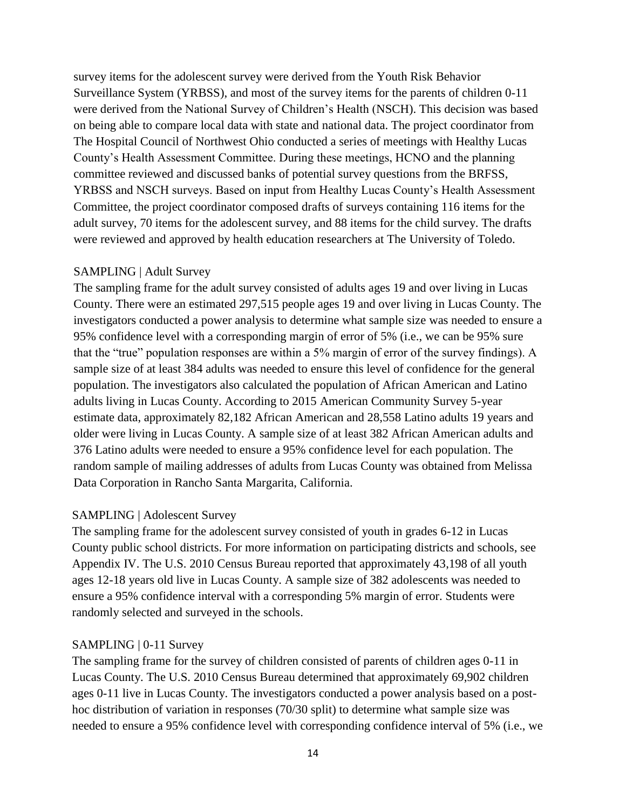survey items for the adolescent survey were derived from the Youth Risk Behavior Surveillance System (YRBSS), and most of the survey items for the parents of children 0-11 were derived from the National Survey of Children's Health (NSCH). This decision was based on being able to compare local data with state and national data. The project coordinator from The Hospital Council of Northwest Ohio conducted a series of meetings with Healthy Lucas County's Health Assessment Committee. During these meetings, HCNO and the planning committee reviewed and discussed banks of potential survey questions from the BRFSS, YRBSS and NSCH surveys. Based on input from Healthy Lucas County's Health Assessment Committee, the project coordinator composed drafts of surveys containing 116 items for the adult survey, 70 items for the adolescent survey, and 88 items for the child survey. The drafts were reviewed and approved by health education researchers at The University of Toledo.

#### SAMPLING | Adult Survey

The sampling frame for the adult survey consisted of adults ages 19 and over living in Lucas County. There were an estimated 297,515 people ages 19 and over living in Lucas County. The investigators conducted a power analysis to determine what sample size was needed to ensure a 95% confidence level with a corresponding margin of error of 5% (i.e., we can be 95% sure that the "true" population responses are within a 5% margin of error of the survey findings). A sample size of at least 384 adults was needed to ensure this level of confidence for the general population. The investigators also calculated the population of African American and Latino adults living in Lucas County. According to 2015 American Community Survey 5-year estimate data, approximately 82,182 African American and 28,558 Latino adults 19 years and older were living in Lucas County. A sample size of at least 382 African American adults and 376 Latino adults were needed to ensure a 95% confidence level for each population. The random sample of mailing addresses of adults from Lucas County was obtained from Melissa Data Corporation in Rancho Santa Margarita, California.

#### SAMPLING | Adolescent Survey

The sampling frame for the adolescent survey consisted of youth in grades 6-12 in Lucas County public school districts. For more information on participating districts and schools, see Appendix IV. The U.S. 2010 Census Bureau reported that approximately 43,198 of all youth ages 12-18 years old live in Lucas County. A sample size of 382 adolescents was needed to ensure a 95% confidence interval with a corresponding 5% margin of error. Students were randomly selected and surveyed in the schools.

#### SAMPLING | 0-11 Survey

The sampling frame for the survey of children consisted of parents of children ages 0-11 in Lucas County. The U.S. 2010 Census Bureau determined that approximately 69,902 children ages 0-11 live in Lucas County. The investigators conducted a power analysis based on a posthoc distribution of variation in responses (70/30 split) to determine what sample size was needed to ensure a 95% confidence level with corresponding confidence interval of 5% (i.e., we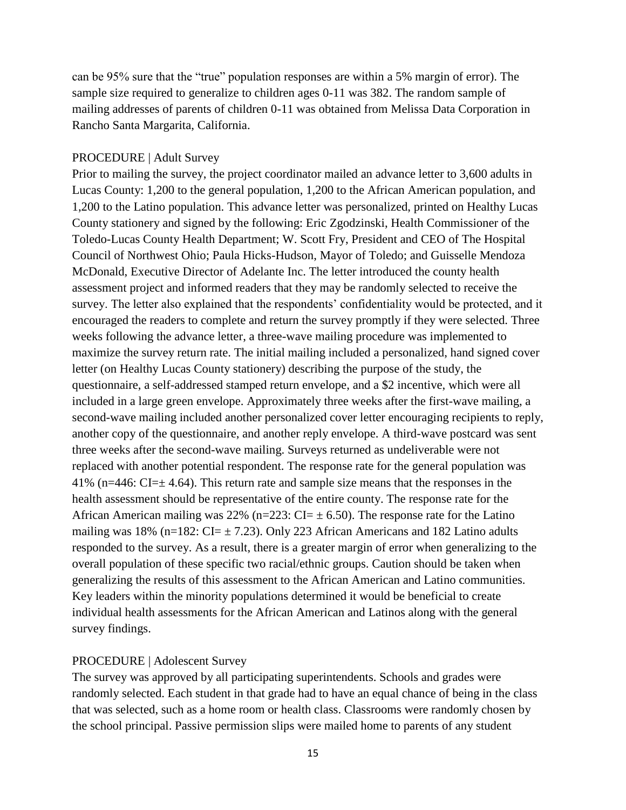can be 95% sure that the "true" population responses are within a 5% margin of error). The sample size required to generalize to children ages 0-11 was 382. The random sample of mailing addresses of parents of children 0-11 was obtained from Melissa Data Corporation in Rancho Santa Margarita, California.

#### PROCEDURE | Adult Survey

Prior to mailing the survey, the project coordinator mailed an advance letter to 3,600 adults in Lucas County: 1,200 to the general population, 1,200 to the African American population, and 1,200 to the Latino population. This advance letter was personalized, printed on Healthy Lucas County stationery and signed by the following: Eric Zgodzinski, Health Commissioner of the Toledo-Lucas County Health Department; W. Scott Fry, President and CEO of The Hospital Council of Northwest Ohio; Paula Hicks-Hudson, Mayor of Toledo; and Guisselle Mendoza McDonald, Executive Director of Adelante Inc. The letter introduced the county health assessment project and informed readers that they may be randomly selected to receive the survey. The letter also explained that the respondents' confidentiality would be protected, and it encouraged the readers to complete and return the survey promptly if they were selected. Three weeks following the advance letter, a three-wave mailing procedure was implemented to maximize the survey return rate. The initial mailing included a personalized, hand signed cover letter (on Healthy Lucas County stationery) describing the purpose of the study, the questionnaire, a self-addressed stamped return envelope, and a \$2 incentive, which were all included in a large green envelope. Approximately three weeks after the first-wave mailing, a second-wave mailing included another personalized cover letter encouraging recipients to reply, another copy of the questionnaire, and another reply envelope. A third-wave postcard was sent three weeks after the second-wave mailing. Surveys returned as undeliverable were not replaced with another potential respondent. The response rate for the general population was 41% ( $n=446$ : CI= $\pm$  4.64). This return rate and sample size means that the responses in the health assessment should be representative of the entire county. The response rate for the African American mailing was 22% (n=223:  $CI = \pm 6.50$ ). The response rate for the Latino mailing was 18% (n=182:  $CI = \pm 7.23$ ). Only 223 African Americans and 182 Latino adults responded to the survey. As a result, there is a greater margin of error when generalizing to the overall population of these specific two racial/ethnic groups. Caution should be taken when generalizing the results of this assessment to the African American and Latino communities. Key leaders within the minority populations determined it would be beneficial to create individual health assessments for the African American and Latinos along with the general survey findings.

#### PROCEDURE | Adolescent Survey

The survey was approved by all participating superintendents. Schools and grades were randomly selected. Each student in that grade had to have an equal chance of being in the class that was selected, such as a home room or health class. Classrooms were randomly chosen by the school principal. Passive permission slips were mailed home to parents of any student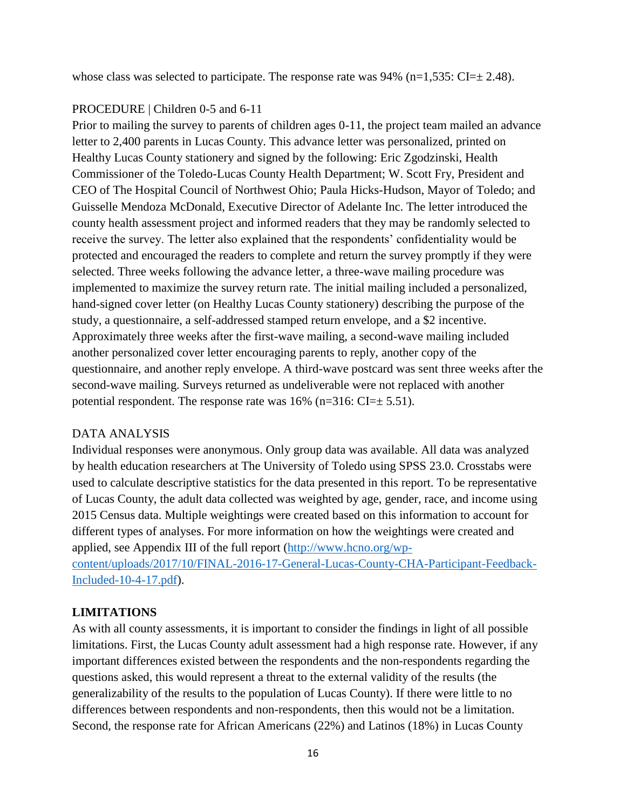whose class was selected to participate. The response rate was  $94\%$  (n=1,535: CI= $\pm$  2.48).

#### PROCEDURE | Children 0-5 and 6-11

Prior to mailing the survey to parents of children ages 0-11, the project team mailed an advance letter to 2,400 parents in Lucas County. This advance letter was personalized, printed on Healthy Lucas County stationery and signed by the following: Eric Zgodzinski, Health Commissioner of the Toledo-Lucas County Health Department; W. Scott Fry, President and CEO of The Hospital Council of Northwest Ohio; Paula Hicks-Hudson, Mayor of Toledo; and Guisselle Mendoza McDonald, Executive Director of Adelante Inc. The letter introduced the county health assessment project and informed readers that they may be randomly selected to receive the survey. The letter also explained that the respondents' confidentiality would be protected and encouraged the readers to complete and return the survey promptly if they were selected. Three weeks following the advance letter, a three-wave mailing procedure was implemented to maximize the survey return rate. The initial mailing included a personalized, hand-signed cover letter (on Healthy Lucas County stationery) describing the purpose of the study, a questionnaire, a self-addressed stamped return envelope, and a \$2 incentive. Approximately three weeks after the first-wave mailing, a second-wave mailing included another personalized cover letter encouraging parents to reply, another copy of the questionnaire, and another reply envelope. A third-wave postcard was sent three weeks after the second-wave mailing. Surveys returned as undeliverable were not replaced with another potential respondent. The response rate was  $16\%$  (n=316: CI= $\pm$  5.51).

#### DATA ANALYSIS

Individual responses were anonymous. Only group data was available. All data was analyzed by health education researchers at The University of Toledo using SPSS 23.0. Crosstabs were used to calculate descriptive statistics for the data presented in this report. To be representative of Lucas County, the adult data collected was weighted by age, gender, race, and income using 2015 Census data. Multiple weightings were created based on this information to account for different types of analyses. For more information on how the weightings were created and applied, see Appendix III of the full report [\(http://www.hcno.org/wp-](http://www.hcno.org/wp-content/uploads/2017/10/FINAL-2016-17-General-Lucas-County-CHA-Participant-Feedback-Included-10-4-17.pdf)

[content/uploads/2017/10/FINAL-2016-17-General-Lucas-County-CHA-Participant-Feedback-](http://www.hcno.org/wp-content/uploads/2017/10/FINAL-2016-17-General-Lucas-County-CHA-Participant-Feedback-Included-10-4-17.pdf)[Included-10-4-17.pdf\)](http://www.hcno.org/wp-content/uploads/2017/10/FINAL-2016-17-General-Lucas-County-CHA-Participant-Feedback-Included-10-4-17.pdf).

### **LIMITATIONS**

As with all county assessments, it is important to consider the findings in light of all possible limitations. First, the Lucas County adult assessment had a high response rate. However, if any important differences existed between the respondents and the non-respondents regarding the questions asked, this would represent a threat to the external validity of the results (the generalizability of the results to the population of Lucas County). If there were little to no differences between respondents and non-respondents, then this would not be a limitation. Second, the response rate for African Americans (22%) and Latinos (18%) in Lucas County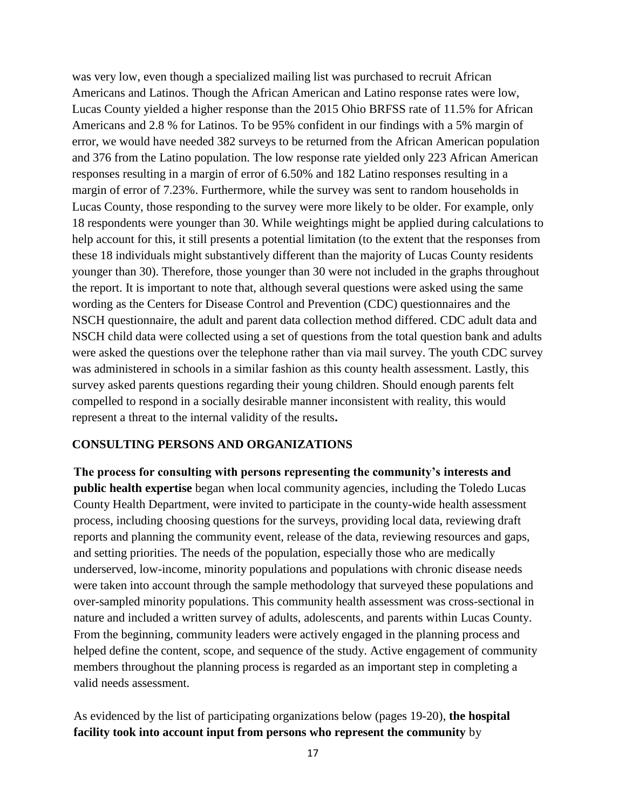was very low, even though a specialized mailing list was purchased to recruit African Americans and Latinos. Though the African American and Latino response rates were low, Lucas County yielded a higher response than the 2015 Ohio BRFSS rate of 11.5% for African Americans and 2.8 % for Latinos. To be 95% confident in our findings with a 5% margin of error, we would have needed 382 surveys to be returned from the African American population and 376 from the Latino population. The low response rate yielded only 223 African American responses resulting in a margin of error of 6.50% and 182 Latino responses resulting in a margin of error of 7.23%. Furthermore, while the survey was sent to random households in Lucas County, those responding to the survey were more likely to be older. For example, only 18 respondents were younger than 30. While weightings might be applied during calculations to help account for this, it still presents a potential limitation (to the extent that the responses from these 18 individuals might substantively different than the majority of Lucas County residents younger than 30). Therefore, those younger than 30 were not included in the graphs throughout the report. It is important to note that, although several questions were asked using the same wording as the Centers for Disease Control and Prevention (CDC) questionnaires and the NSCH questionnaire, the adult and parent data collection method differed. CDC adult data and NSCH child data were collected using a set of questions from the total question bank and adults were asked the questions over the telephone rather than via mail survey. The youth CDC survey was administered in schools in a similar fashion as this county health assessment. Lastly, this survey asked parents questions regarding their young children. Should enough parents felt compelled to respond in a socially desirable manner inconsistent with reality, this would represent a threat to the internal validity of the results**.**

#### **CONSULTING PERSONS AND ORGANIZATIONS**

**The process for consulting with persons representing the community's interests and public health expertise** began when local community agencies, including the Toledo Lucas County Health Department, were invited to participate in the county-wide health assessment process, including choosing questions for the surveys, providing local data, reviewing draft reports and planning the community event, release of the data, reviewing resources and gaps, and setting priorities. The needs of the population, especially those who are medically underserved, low-income, minority populations and populations with chronic disease needs were taken into account through the sample methodology that surveyed these populations and over-sampled minority populations. This community health assessment was cross-sectional in nature and included a written survey of adults, adolescents, and parents within Lucas County. From the beginning, community leaders were actively engaged in the planning process and helped define the content, scope, and sequence of the study. Active engagement of community members throughout the planning process is regarded as an important step in completing a valid needs assessment.

As evidenced by the list of participating organizations below (pages 19-20), **the hospital facility took into account input from persons who represent the community** by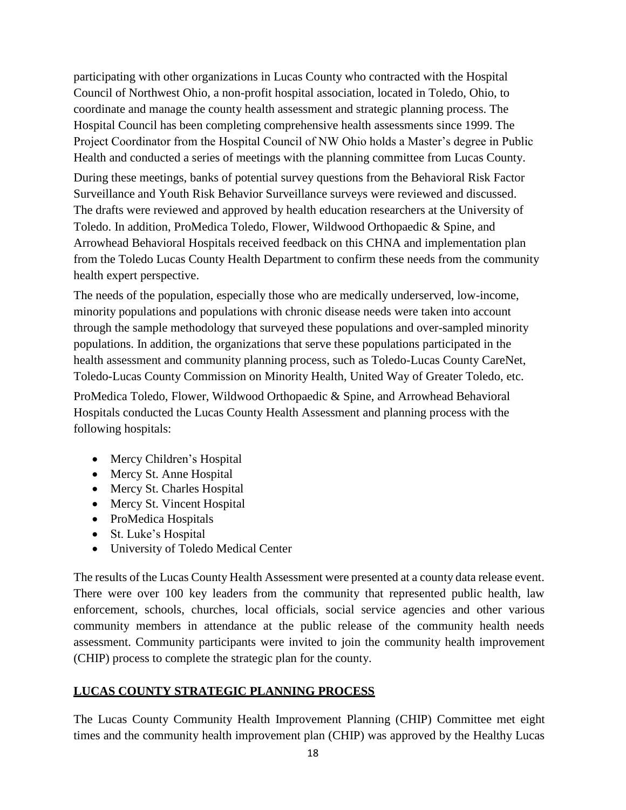participating with other organizations in Lucas County who contracted with the Hospital Council of Northwest Ohio, a non-profit hospital association, located in Toledo, Ohio, to coordinate and manage the county health assessment and strategic planning process. The Hospital Council has been completing comprehensive health assessments since 1999. The Project Coordinator from the Hospital Council of NW Ohio holds a Master's degree in Public Health and conducted a series of meetings with the planning committee from Lucas County.

During these meetings, banks of potential survey questions from the Behavioral Risk Factor Surveillance and Youth Risk Behavior Surveillance surveys were reviewed and discussed. The drafts were reviewed and approved by health education researchers at the University of Toledo. In addition, ProMedica Toledo, Flower, Wildwood Orthopaedic & Spine, and Arrowhead Behavioral Hospitals received feedback on this CHNA and implementation plan from the Toledo Lucas County Health Department to confirm these needs from the community health expert perspective.

The needs of the population, especially those who are medically underserved, low-income, minority populations and populations with chronic disease needs were taken into account through the sample methodology that surveyed these populations and over-sampled minority populations. In addition, the organizations that serve these populations participated in the health assessment and community planning process, such as Toledo-Lucas County CareNet, Toledo-Lucas County Commission on Minority Health, United Way of Greater Toledo, etc.

ProMedica Toledo, Flower, Wildwood Orthopaedic & Spine, and Arrowhead Behavioral Hospitals conducted the Lucas County Health Assessment and planning process with the following hospitals:

- Mercy Children's Hospital
- Mercy St. Anne Hospital
- Mercy St. Charles Hospital
- Mercy St. Vincent Hospital
- ProMedica Hospitals
- St. Luke's Hospital
- University of Toledo Medical Center

The results of the Lucas County Health Assessment were presented at a county data release event. There were over 100 key leaders from the community that represented public health, law enforcement, schools, churches, local officials, social service agencies and other various community members in attendance at the public release of the community health needs assessment. Community participants were invited to join the community health improvement (CHIP) process to complete the strategic plan for the county.

### **LUCAS COUNTY STRATEGIC PLANNING PROCESS**

The Lucas County Community Health Improvement Planning (CHIP) Committee met eight times and the community health improvement plan (CHIP) was approved by the Healthy Lucas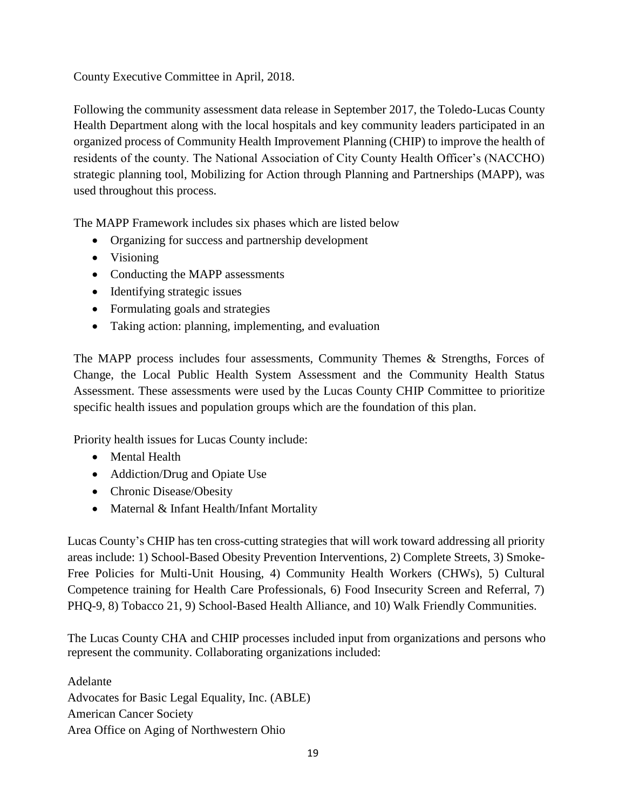County Executive Committee in April, 2018.

Following the community assessment data release in September 2017, the Toledo-Lucas County Health Department along with the local hospitals and key community leaders participated in an organized process of Community Health Improvement Planning (CHIP) to improve the health of residents of the county. The National Association of City County Health Officer's (NACCHO) strategic planning tool, Mobilizing for Action through Planning and Partnerships (MAPP), was used throughout this process.

The MAPP Framework includes six phases which are listed below

- Organizing for success and partnership development
- Visioning
- Conducting the MAPP assessments
- Identifying strategic issues
- Formulating goals and strategies
- Taking action: planning, implementing, and evaluation

The MAPP process includes four assessments, Community Themes & Strengths, Forces of Change, the Local Public Health System Assessment and the Community Health Status Assessment. These assessments were used by the Lucas County CHIP Committee to prioritize specific health issues and population groups which are the foundation of this plan.

Priority health issues for Lucas County include:

- Mental Health
- Addiction/Drug and Opiate Use
- Chronic Disease/Obesity
- Maternal & Infant Health/Infant Mortality

Lucas County's CHIP has ten cross-cutting strategies that will work toward addressing all priority areas include: 1) School-Based Obesity Prevention Interventions, 2) Complete Streets, 3) Smoke-Free Policies for Multi-Unit Housing, 4) Community Health Workers (CHWs), 5) Cultural Competence training for Health Care Professionals, 6) Food Insecurity Screen and Referral, 7) PHQ-9, 8) Tobacco 21, 9) School-Based Health Alliance, and 10) Walk Friendly Communities.

The Lucas County CHA and CHIP processes included input from organizations and persons who represent the community. Collaborating organizations included:

Adelante Advocates for Basic Legal Equality, Inc. (ABLE) American Cancer Society Area Office on Aging of Northwestern Ohio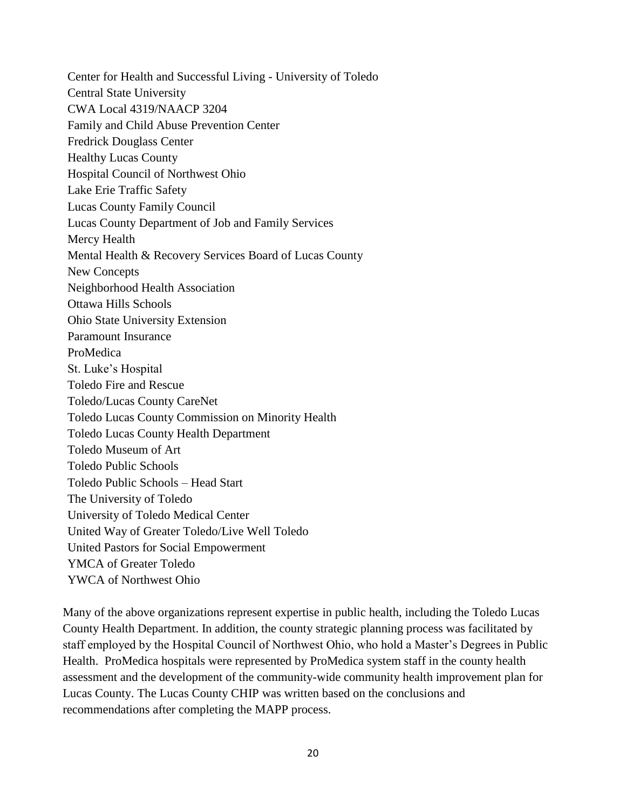Center for Health and Successful Living - University of Toledo Central State University CWA Local 4319/NAACP 3204 Family and Child Abuse Prevention Center Fredrick Douglass Center Healthy Lucas County Hospital Council of Northwest Ohio Lake Erie Traffic Safety Lucas County Family Council Lucas County Department of Job and Family Services Mercy Health Mental Health & Recovery Services Board of Lucas County New Concepts Neighborhood Health Association Ottawa Hills Schools Ohio State University Extension Paramount Insurance ProMedica St. Luke's Hospital Toledo Fire and Rescue Toledo/Lucas County CareNet Toledo Lucas County Commission on Minority Health Toledo Lucas County Health Department Toledo Museum of Art Toledo Public Schools Toledo Public Schools – Head Start The University of Toledo University of Toledo Medical Center United Way of Greater Toledo/Live Well Toledo United Pastors for Social Empowerment YMCA of Greater Toledo YWCA of Northwest Ohio

Many of the above organizations represent expertise in public health, including the Toledo Lucas County Health Department. In addition, the county strategic planning process was facilitated by staff employed by the Hospital Council of Northwest Ohio, who hold a Master's Degrees in Public Health. ProMedica hospitals were represented by ProMedica system staff in the county health assessment and the development of the community-wide community health improvement plan for Lucas County. The Lucas County CHIP was written based on the conclusions and recommendations after completing the MAPP process.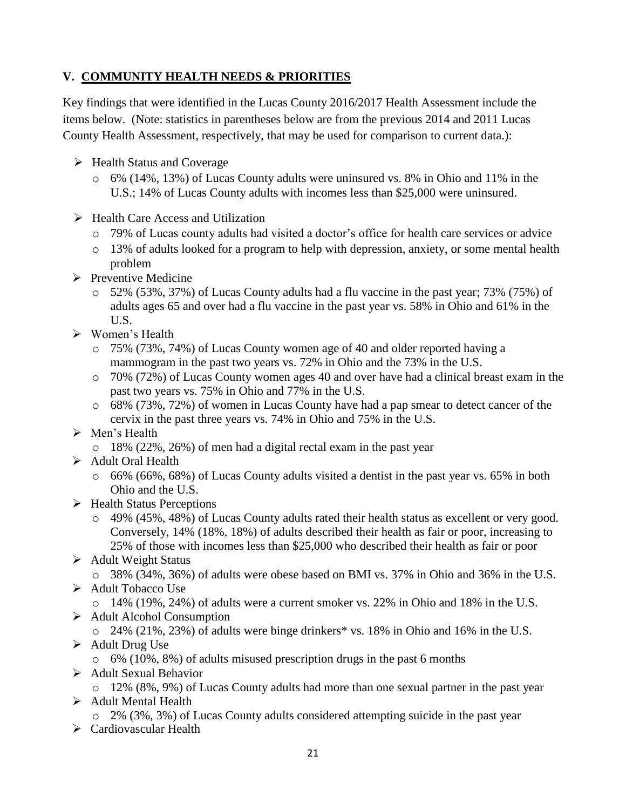# **V. COMMUNITY HEALTH NEEDS & PRIORITIES**

Key findings that were identified in the Lucas County 2016/2017 Health Assessment include the items below. (Note: statistics in parentheses below are from the previous 2014 and 2011 Lucas County Health Assessment, respectively, that may be used for comparison to current data.):

- $\triangleright$  Health Status and Coverage
	- o 6% (14%, 13%) of Lucas County adults were uninsured vs. 8% in Ohio and 11% in the U.S.; 14% of Lucas County adults with incomes less than \$25,000 were uninsured.
- $\triangleright$  Health Care Access and Utilization
	- o 79% of Lucas county adults had visited a doctor's office for health care services or advice
	- o 13% of adults looked for a program to help with depression, anxiety, or some mental health problem
- $\triangleright$  Preventive Medicine
	- o 52% (53%, 37%) of Lucas County adults had a flu vaccine in the past year; 73% (75%) of adults ages 65 and over had a flu vaccine in the past year vs. 58% in Ohio and 61% in the U.S.
- Women's Health
	- o 75% (73%, 74%) of Lucas County women age of 40 and older reported having a mammogram in the past two years vs. 72% in Ohio and the 73% in the U.S.
	- o 70% (72%) of Lucas County women ages 40 and over have had a clinical breast exam in the past two years vs. 75% in Ohio and 77% in the U.S.
	- o 68% (73%, 72%) of women in Lucas County have had a pap smear to detect cancer of the cervix in the past three years vs. 74% in Ohio and 75% in the U.S.
- > Men's Health
	- o 18% (22%, 26%) of men had a digital rectal exam in the past year
- > Adult Oral Health
	- o 66% (66%, 68%) of Lucas County adults visited a dentist in the past year vs. 65% in both Ohio and the U.S.
- $\triangleright$  Health Status Perceptions
	- o 49% (45%, 48%) of Lucas County adults rated their health status as excellent or very good. Conversely, 14% (18%, 18%) of adults described their health as fair or poor, increasing to 25% of those with incomes less than \$25,000 who described their health as fair or poor
- $\triangleright$  Adult Weight Status

o 38% (34%, 36%) of adults were obese based on BMI vs. 37% in Ohio and 36% in the U.S.  $\triangleright$  Adult Tobacco Use

o 14% (19%, 24%) of adults were a current smoker vs. 22% in Ohio and 18% in the U.S.

- $\triangleright$  Adult Alcohol Consumption
	- o 24% (21%, 23%) of adults were binge drinkers\* vs. 18% in Ohio and 16% in the U.S.
- $\triangleright$  Adult Drug Use
	- o 6% (10%, 8%) of adults misused prescription drugs in the past 6 months
- $\triangleright$  Adult Sexual Behavior

o 12% (8%, 9%) of Lucas County adults had more than one sexual partner in the past year

- > Adult Mental Health
	- o 2% (3%, 3%) of Lucas County adults considered attempting suicide in the past year
- Cardiovascular Health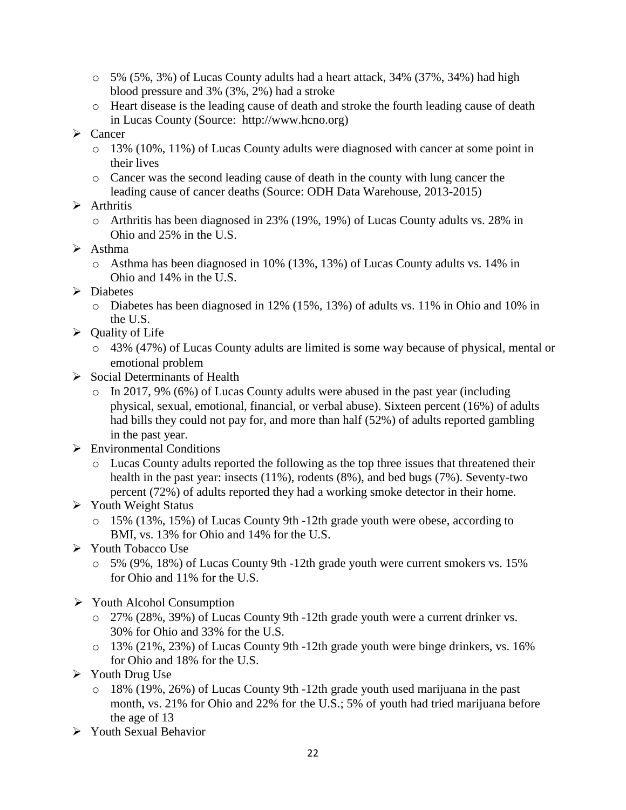- o 5% (5%, 3%) of Lucas County adults had a heart attack, 34% (37%, 34%) had high blood pressure and 3% (3%, 2%) had a stroke
- o Heart disease is the leading cause of death and stroke the fourth leading cause of death in Lucas County (Source: http://www.hcno.org)
- $\triangleright$  Cancer
	- $\circ$  13% (10%, 11%) of Lucas County adults were diagnosed with cancer at some point in their lives
	- o Cancer was the second leading cause of death in the county with lung cancer the leading cause of cancer deaths (Source: ODH Data Warehouse, 2013-2015)
- $\triangleright$  Arthritis
	- o Arthritis has been diagnosed in 23% (19%, 19%) of Lucas County adults vs. 28% in Ohio and 25% in the U.S.
- $\triangleright$  Asthma
	- o Asthma has been diagnosed in 10% (13%, 13%) of Lucas County adults vs. 14% in Ohio and 14% in the U.S.
- > Diabetes
	- o Diabetes has been diagnosed in 12% (15%, 13%) of adults vs. 11% in Ohio and 10% in the U.S.
- $\triangleright$  Quality of Life
	- o 43% (47%) of Lucas County adults are limited is some way because of physical, mental or emotional problem
- $\triangleright$  Social Determinants of Health
	- o In 2017, 9% (6%) of Lucas County adults were abused in the past year (including physical, sexual, emotional, financial, or verbal abuse). Sixteen percent (16%) of adults had bills they could not pay for, and more than half (52%) of adults reported gambling in the past year.
- $\triangleright$  Environmental Conditions
	- o Lucas County adults reported the following as the top three issues that threatened their health in the past year: insects (11%), rodents (8%), and bed bugs (7%). Seventy-two percent (72%) of adults reported they had a working smoke detector in their home.
- Youth Weight Status
	- o 15% (13%, 15%) of Lucas County 9th -12th grade youth were obese, according to BMI, vs. 13% for Ohio and 14% for the U.S.
- Youth Tobacco Use
	- o 5% (9%, 18%) of Lucas County 9th -12th grade youth were current smokers vs. 15% for Ohio and 11% for the U.S.
- Youth Alcohol Consumption
	- o 27% (28%, 39%) of Lucas County 9th -12th grade youth were a current drinker vs. 30% for Ohio and 33% for the U.S.
	- o 13% (21%, 23%) of Lucas County 9th -12th grade youth were binge drinkers, vs. 16% for Ohio and 18% for the U.S.
- Youth Drug Use
	- o 18% (19%, 26%) of Lucas County 9th -12th grade youth used marijuana in the past month, vs. 21% for Ohio and 22% for the U.S.; 5% of youth had tried marijuana before the age of 13
- Youth Sexual Behavior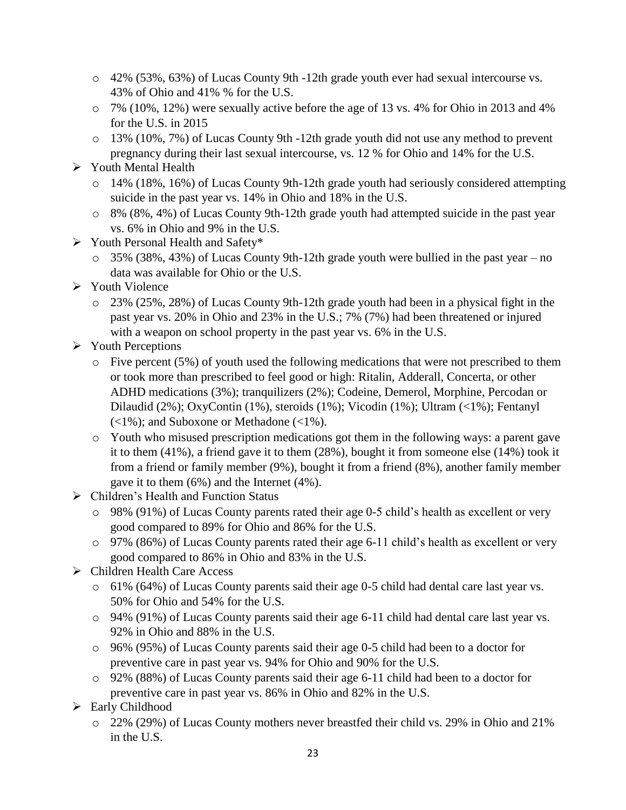- o 42% (53%, 63%) of Lucas County 9th -12th grade youth ever had sexual intercourse vs. 43% of Ohio and 41% % for the U.S.
- o 7% (10%, 12%) were sexually active before the age of 13 vs. 4% for Ohio in 2013 and 4% for the U.S. in 2015
- o 13% (10%, 7%) of Lucas County 9th -12th grade youth did not use any method to prevent pregnancy during their last sexual intercourse, vs. 12 % for Ohio and 14% for the U.S.

# Youth Mental Health

- o 14% (18%, 16%) of Lucas County 9th-12th grade youth had seriously considered attempting suicide in the past year vs. 14% in Ohio and 18% in the U.S.
- o 8% (8%, 4%) of Lucas County 9th-12th grade youth had attempted suicide in the past year vs. 6% in Ohio and 9% in the U.S.
- Youth Personal Health and Safety\*
	- o 35% (38%, 43%) of Lucas County 9th-12th grade youth were bullied in the past year no data was available for Ohio or the U.S.
- $\triangleright$  Youth Violence
	- o 23% (25%, 28%) of Lucas County 9th-12th grade youth had been in a physical fight in the past year vs. 20% in Ohio and 23% in the U.S.; 7% (7%) had been threatened or injured with a weapon on school property in the past year vs. 6% in the U.S.
- $\triangleright$  Youth Perceptions
	- o Five percent (5%) of youth used the following medications that were not prescribed to them or took more than prescribed to feel good or high: Ritalin, Adderall, Concerta, or other ADHD medications (3%); tranquilizers (2%); Codeine, Demerol, Morphine, Percodan or Dilaudid (2%); OxyContin (1%), steroids (1%); Vicodin (1%); Ultram (<1%); Fentanyl  $\left(\langle 1\% \right)$ ; and Suboxone or Methadone  $\left(\langle 1\% \right)$ .
	- o Youth who misused prescription medications got them in the following ways: a parent gave it to them (41%), a friend gave it to them (28%), bought it from someone else (14%) took it from a friend or family member (9%), bought it from a friend (8%), another family member gave it to them (6%) and the Internet (4%).
- > Children's Health and Function Status
	- o 98% (91%) of Lucas County parents rated their age 0-5 child's health as excellent or very good compared to 89% for Ohio and 86% for the U.S.
	- o 97% (86%) of Lucas County parents rated their age 6-11 child's health as excellent or very good compared to 86% in Ohio and 83% in the U.S.
- Children Health Care Access
	- o 61% (64%) of Lucas County parents said their age 0-5 child had dental care last year vs. 50% for Ohio and 54% for the U.S.
	- o 94% (91%) of Lucas County parents said their age 6-11 child had dental care last year vs. 92% in Ohio and 88% in the U.S.
	- o 96% (95%) of Lucas County parents said their age 0-5 child had been to a doctor for preventive care in past year vs. 94% for Ohio and 90% for the U.S.
	- o 92% (88%) of Lucas County parents said their age 6-11 child had been to a doctor for preventive care in past year vs. 86% in Ohio and 82% in the U.S.
- $\triangleright$  Early Childhood
	- o 22% (29%) of Lucas County mothers never breastfed their child vs. 29% in Ohio and 21% in the U.S.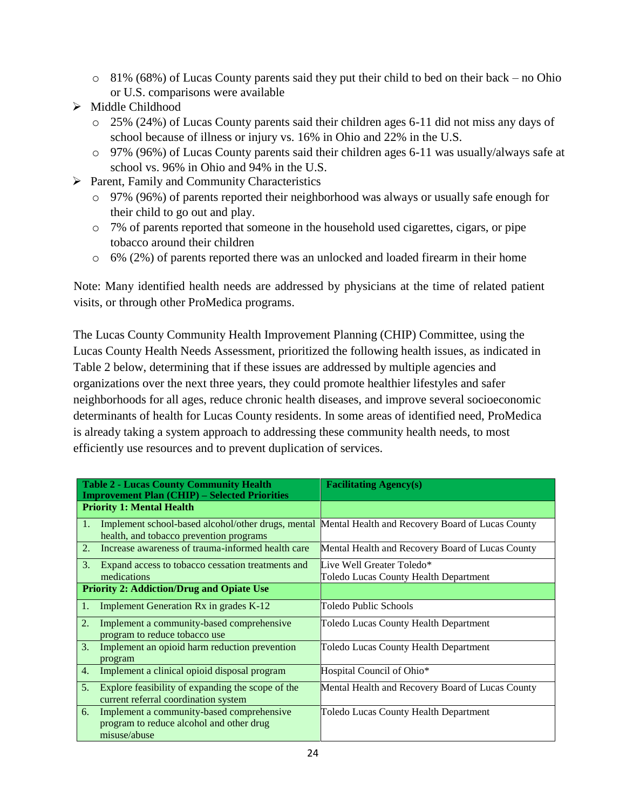- $\circ$  81% (68%) of Lucas County parents said they put their child to bed on their back no Ohio or U.S. comparisons were available
- $\triangleright$  Middle Childhood
	- o 25% (24%) of Lucas County parents said their children ages 6-11 did not miss any days of school because of illness or injury vs. 16% in Ohio and 22% in the U.S.
	- o 97% (96%) of Lucas County parents said their children ages 6-11 was usually/always safe at school vs. 96% in Ohio and 94% in the U.S.
- $\triangleright$  Parent, Family and Community Characteristics
	- o 97% (96%) of parents reported their neighborhood was always or usually safe enough for their child to go out and play.
	- o 7% of parents reported that someone in the household used cigarettes, cigars, or pipe tobacco around their children
	- o 6% (2%) of parents reported there was an unlocked and loaded firearm in their home

Note: Many identified health needs are addressed by physicians at the time of related patient visits, or through other ProMedica programs.

The Lucas County Community Health Improvement Planning (CHIP) Committee, using the Lucas County Health Needs Assessment, prioritized the following health issues, as indicated in Table 2 below, determining that if these issues are addressed by multiple agencies and organizations over the next three years, they could promote healthier lifestyles and safer neighborhoods for all ages, reduce chronic health diseases, and improve several socioeconomic determinants of health for Lucas County residents. In some areas of identified need, ProMedica is already taking a system approach to addressing these community health needs, to most efficiently use resources and to prevent duplication of services.

| <b>Table 2 - Lucas County Community Health</b><br><b>Improvement Plan (CHIP) - Selected Priorities</b> |                                                                                                                                                | <b>Facilitating Agency(s)</b>                                      |  |
|--------------------------------------------------------------------------------------------------------|------------------------------------------------------------------------------------------------------------------------------------------------|--------------------------------------------------------------------|--|
| <b>Priority 1: Mental Health</b>                                                                       |                                                                                                                                                |                                                                    |  |
| 1.                                                                                                     | Implement school-based alcohol/other drugs, mental Mental Health and Recovery Board of Lucas County<br>health, and tobacco prevention programs |                                                                    |  |
| 2.                                                                                                     | Increase awareness of trauma-informed health care                                                                                              | Mental Health and Recovery Board of Lucas County                   |  |
| 3.                                                                                                     | Expand access to tobacco cessation treatments and<br>medications                                                                               | Live Well Greater Toledo*<br>Toledo Lucas County Health Department |  |
|                                                                                                        | <b>Priority 2: Addiction/Drug and Opiate Use</b>                                                                                               |                                                                    |  |
| 1.                                                                                                     | Implement Generation Rx in grades K-12                                                                                                         | Toledo Public Schools                                              |  |
| $\overline{2}$ .                                                                                       | Implement a community-based comprehensive<br>program to reduce tobacco use                                                                     | Toledo Lucas County Health Department                              |  |
| 3.                                                                                                     | Implement an opioid harm reduction prevention<br>program                                                                                       | Toledo Lucas County Health Department                              |  |
| $\overline{4}$ .                                                                                       | Implement a clinical opioid disposal program                                                                                                   | Hospital Council of Ohio*                                          |  |
| 5.                                                                                                     | Explore feasibility of expanding the scope of the<br>current referral coordination system                                                      | Mental Health and Recovery Board of Lucas County                   |  |
| 6.                                                                                                     | Implement a community-based comprehensive<br>program to reduce alcohol and other drug<br>misuse/abuse                                          | Toledo Lucas County Health Department                              |  |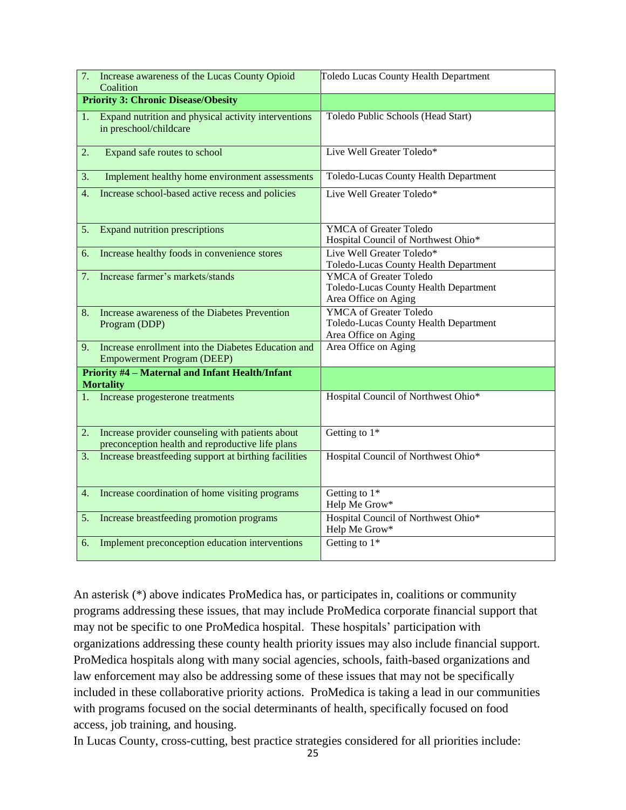| Increase awareness of the Lucas County Opioid<br>Coalition                                                               | <b>Toledo Lucas County Health Department</b>                                                   |  |  |
|--------------------------------------------------------------------------------------------------------------------------|------------------------------------------------------------------------------------------------|--|--|
| <b>Priority 3: Chronic Disease/Obesity</b>                                                                               |                                                                                                |  |  |
| Expand nutrition and physical activity interventions<br>1.<br>in preschool/childcare                                     | Toledo Public Schools (Head Start)                                                             |  |  |
| Expand safe routes to school<br>2.                                                                                       | Live Well Greater Toledo*                                                                      |  |  |
| 3.<br>Implement healthy home environment assessments                                                                     | Toledo-Lucas County Health Department                                                          |  |  |
| 4.<br>Increase school-based active recess and policies                                                                   | Live Well Greater Toledo*                                                                      |  |  |
| <b>Expand nutrition prescriptions</b><br>5.                                                                              | <b>YMCA</b> of Greater Toledo<br>Hospital Council of Northwest Ohio*                           |  |  |
| Increase healthy foods in convenience stores<br>6.                                                                       | Live Well Greater Toledo*<br>Toledo-Lucas County Health Department                             |  |  |
| Increase farmer's markets/stands<br>7.                                                                                   | <b>YMCA</b> of Greater Toledo<br>Toledo-Lucas County Health Department<br>Area Office on Aging |  |  |
| Increase awareness of the Diabetes Prevention<br>8.<br>Program (DDP)                                                     | <b>YMCA</b> of Greater Toledo<br>Toledo-Lucas County Health Department<br>Area Office on Aging |  |  |
| Increase enrollment into the Diabetes Education and<br>9.<br><b>Empowerment Program (DEEP)</b>                           | Area Office on Aging                                                                           |  |  |
| <b>Priority #4 - Maternal and Infant Health/Infant</b><br><b>Mortality</b>                                               |                                                                                                |  |  |
| Increase progesterone treatments                                                                                         | Hospital Council of Northwest Ohio*                                                            |  |  |
| Increase provider counseling with patients about<br>$\overline{2}$ .<br>preconception health and reproductive life plans | Getting to $1*$                                                                                |  |  |
| Increase breastfeeding support at birthing facilities<br>3.                                                              | Hospital Council of Northwest Ohio*                                                            |  |  |
| Increase coordination of home visiting programs<br>4.                                                                    | Getting to $1*$<br>Help Me Grow*                                                               |  |  |
| 5.<br>Increase breastfeeding promotion programs                                                                          | Hospital Council of Northwest Ohio*<br>Help Me Grow*                                           |  |  |
| Implement preconception education interventions<br>6.                                                                    | Getting to $1*$                                                                                |  |  |

An asterisk (\*) above indicates ProMedica has, or participates in, coalitions or community programs addressing these issues, that may include ProMedica corporate financial support that may not be specific to one ProMedica hospital. These hospitals' participation with organizations addressing these county health priority issues may also include financial support. ProMedica hospitals along with many social agencies, schools, faith-based organizations and law enforcement may also be addressing some of these issues that may not be specifically included in these collaborative priority actions. ProMedica is taking a lead in our communities with programs focused on the social determinants of health, specifically focused on food access, job training, and housing.

In Lucas County, cross-cutting, best practice strategies considered for all priorities include: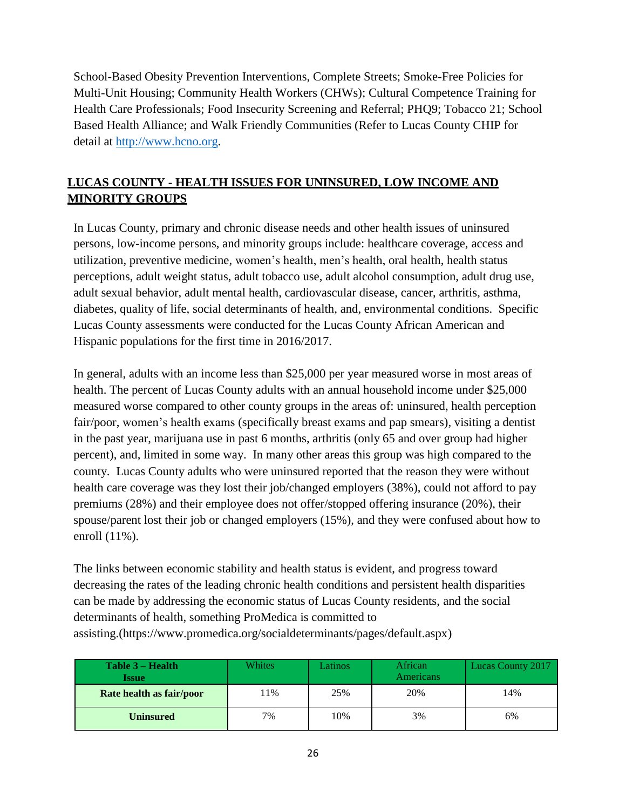School-Based Obesity Prevention Interventions, Complete Streets; Smoke-Free Policies for Multi-Unit Housing; Community Health Workers (CHWs); Cultural Competence Training for Health Care Professionals; Food Insecurity Screening and Referral; PHQ9; Tobacco 21; School Based Health Alliance; and Walk Friendly Communities (Refer to Lucas County CHIP for detail at [http://www.hcno.org.](http://www.hcno.org/)

# **LUCAS COUNTY - HEALTH ISSUES FOR UNINSURED, LOW INCOME AND MINORITY GROUPS**

In Lucas County, primary and chronic disease needs and other health issues of uninsured persons, low-income persons, and minority groups include: healthcare coverage, access and utilization, preventive medicine, women's health, men's health, oral health, health status perceptions, adult weight status, adult tobacco use, adult alcohol consumption, adult drug use, adult sexual behavior, adult mental health, cardiovascular disease, cancer, arthritis, asthma, diabetes, quality of life, social determinants of health, and, environmental conditions. Specific Lucas County assessments were conducted for the Lucas County African American and Hispanic populations for the first time in 2016/2017.

In general, adults with an income less than \$25,000 per year measured worse in most areas of health. The percent of Lucas County adults with an annual household income under \$25,000 measured worse compared to other county groups in the areas of: uninsured, health perception fair/poor, women's health exams (specifically breast exams and pap smears), visiting a dentist in the past year, marijuana use in past 6 months, arthritis (only 65 and over group had higher percent), and, limited in some way. In many other areas this group was high compared to the county. Lucas County adults who were uninsured reported that the reason they were without health care coverage was they lost their job/changed employers (38%), could not afford to pay premiums (28%) and their employee does not offer/stopped offering insurance (20%), their spouse/parent lost their job or changed employers (15%), and they were confused about how to enroll (11%).

The links between economic stability and health status is evident, and progress toward decreasing the rates of the leading chronic health conditions and persistent health disparities can be made by addressing the economic status of Lucas County residents, and the social determinants of health, something ProMedica is committed to assisting.[\(https://www.promedica.org/socialdeterminants/pages/default.aspx\)](https://www.promedica.org/socialdeterminants/pages/default.aspx)

| Table 3 – Health<br><b>Issue</b> | Whites | Latinos | African<br>Americans | <b>Lucas County 2017</b> |
|----------------------------------|--------|---------|----------------------|--------------------------|
| Rate health as fair/poor         | 11%    | 25%     | 20%                  | 14%                      |
| <b>Uninsured</b>                 | 7%     | 10%     | 3%                   | 6%                       |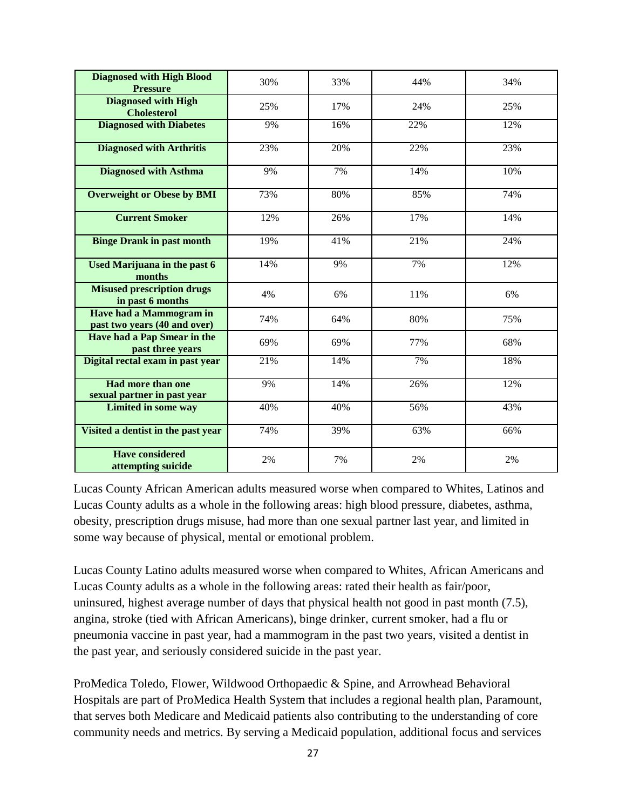| <b>Diagnosed with High Blood</b><br><b>Pressure</b>     | 30% | 33% | 44% | 34% |
|---------------------------------------------------------|-----|-----|-----|-----|
| <b>Diagnosed with High</b><br><b>Cholesterol</b>        | 25% | 17% | 24% | 25% |
| <b>Diagnosed with Diabetes</b>                          | 9%  | 16% | 22% | 12% |
| <b>Diagnosed with Arthritis</b>                         | 23% | 20% | 22% | 23% |
| <b>Diagnosed with Asthma</b>                            | 9%  | 7%  | 14% | 10% |
| <b>Overweight or Obese by BMI</b>                       | 73% | 80% | 85% | 74% |
| <b>Current Smoker</b>                                   | 12% | 26% | 17% | 14% |
| <b>Binge Drank in past month</b>                        | 19% | 41% | 21% | 24% |
| <b>Used Marijuana in the past 6</b><br>months           | 14% | 9%  | 7%  | 12% |
| <b>Misused prescription drugs</b><br>in past 6 months   | 4%  | 6%  | 11% | 6%  |
| Have had a Mammogram in<br>past two years (40 and over) | 74% | 64% | 80% | 75% |
| Have had a Pap Smear in the<br>past three years         | 69% | 69% | 77% | 68% |
| Digital rectal exam in past year                        | 21% | 14% | 7%  | 18% |
| <b>Had more than one</b><br>sexual partner in past year | 9%  | 14% | 26% | 12% |
| <b>Limited in some way</b>                              | 40% | 40% | 56% | 43% |
| Visited a dentist in the past year                      | 74% | 39% | 63% | 66% |
| <b>Have considered</b><br>attempting suicide            | 2%  | 7%  | 2%  | 2%  |

Lucas County African American adults measured worse when compared to Whites, Latinos and Lucas County adults as a whole in the following areas: high blood pressure, diabetes, asthma, obesity, prescription drugs misuse, had more than one sexual partner last year, and limited in some way because of physical, mental or emotional problem.

Lucas County Latino adults measured worse when compared to Whites, African Americans and Lucas County adults as a whole in the following areas: rated their health as fair/poor, uninsured, highest average number of days that physical health not good in past month (7.5), angina, stroke (tied with African Americans), binge drinker, current smoker, had a flu or pneumonia vaccine in past year, had a mammogram in the past two years, visited a dentist in the past year, and seriously considered suicide in the past year.

ProMedica Toledo, Flower, Wildwood Orthopaedic & Spine, and Arrowhead Behavioral Hospitals are part of ProMedica Health System that includes a regional health plan, Paramount, that serves both Medicare and Medicaid patients also contributing to the understanding of core community needs and metrics. By serving a Medicaid population, additional focus and services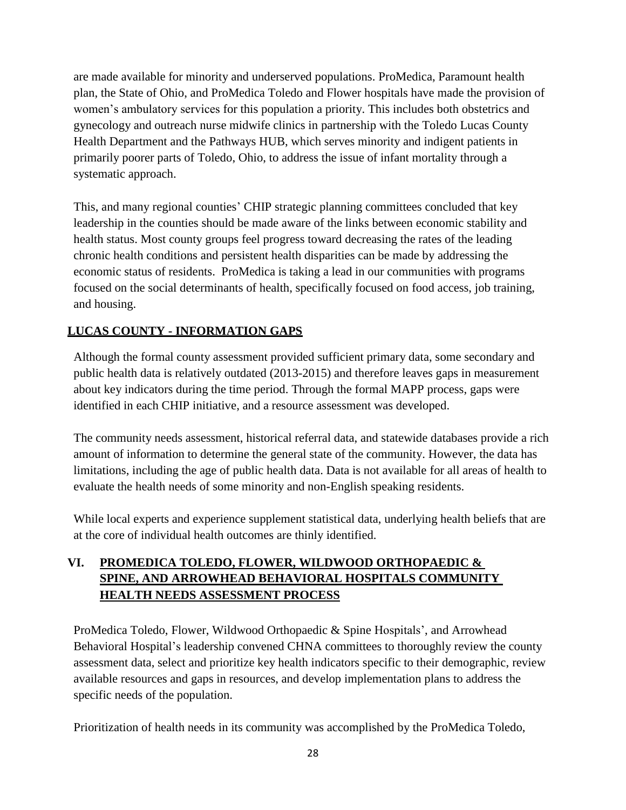are made available for minority and underserved populations. ProMedica, Paramount health plan, the State of Ohio, and ProMedica Toledo and Flower hospitals have made the provision of women's ambulatory services for this population a priority. This includes both obstetrics and gynecology and outreach nurse midwife clinics in partnership with the Toledo Lucas County Health Department and the Pathways HUB, which serves minority and indigent patients in primarily poorer parts of Toledo, Ohio, to address the issue of infant mortality through a systematic approach.

This, and many regional counties' CHIP strategic planning committees concluded that key leadership in the counties should be made aware of the links between economic stability and health status. Most county groups feel progress toward decreasing the rates of the leading chronic health conditions and persistent health disparities can be made by addressing the economic status of residents. ProMedica is taking a lead in our communities with programs focused on the social determinants of health, specifically focused on food access, job training, and housing.

# **LUCAS COUNTY - INFORMATION GAPS**

Although the formal county assessment provided sufficient primary data, some secondary and public health data is relatively outdated (2013-2015) and therefore leaves gaps in measurement about key indicators during the time period. Through the formal MAPP process, gaps were identified in each CHIP initiative, and a resource assessment was developed.

The community needs assessment, historical referral data, and statewide databases provide a rich amount of information to determine the general state of the community. However, the data has limitations, including the age of public health data. Data is not available for all areas of health to evaluate the health needs of some minority and non-English speaking residents.

While local experts and experience supplement statistical data, underlying health beliefs that are at the core of individual health outcomes are thinly identified.

# **VI. PROMEDICA TOLEDO, FLOWER, WILDWOOD ORTHOPAEDIC & SPINE, AND ARROWHEAD BEHAVIORAL HOSPITALS COMMUNITY HEALTH NEEDS ASSESSMENT PROCESS**

ProMedica Toledo, Flower, Wildwood Orthopaedic & Spine Hospitals', and Arrowhead Behavioral Hospital's leadership convened CHNA committees to thoroughly review the county assessment data, select and prioritize key health indicators specific to their demographic, review available resources and gaps in resources, and develop implementation plans to address the specific needs of the population.

Prioritization of health needs in its community was accomplished by the ProMedica Toledo,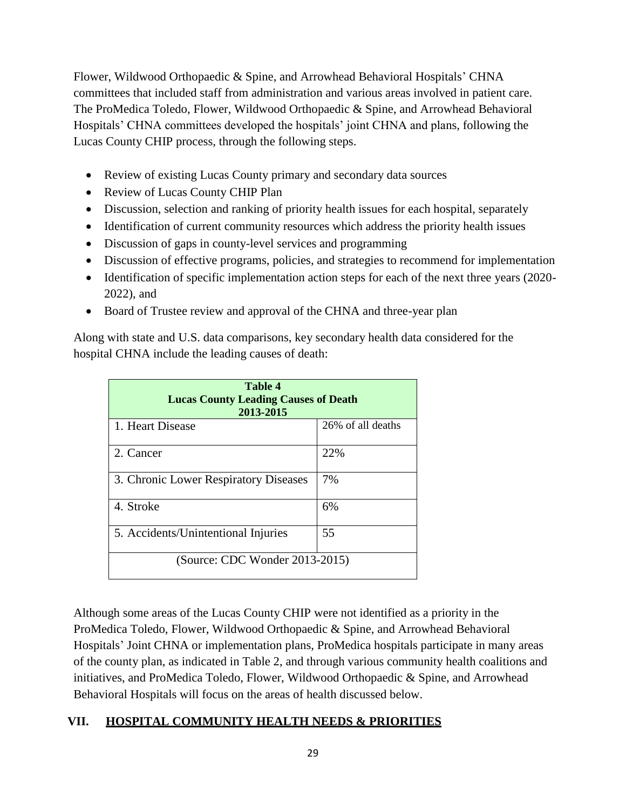Flower, Wildwood Orthopaedic & Spine, and Arrowhead Behavioral Hospitals' CHNA committees that included staff from administration and various areas involved in patient care. The ProMedica Toledo, Flower, Wildwood Orthopaedic & Spine, and Arrowhead Behavioral Hospitals' CHNA committees developed the hospitals' joint CHNA and plans, following the Lucas County CHIP process, through the following steps.

- Review of existing Lucas County primary and secondary data sources
- Review of Lucas County CHIP Plan
- Discussion, selection and ranking of priority health issues for each hospital, separately
- Identification of current community resources which address the priority health issues
- Discussion of gaps in county-level services and programming
- Discussion of effective programs, policies, and strategies to recommend for implementation
- Identification of specific implementation action steps for each of the next three years (2020-2022), and
- Board of Trustee review and approval of the CHNA and three-year plan

Along with state and U.S. data comparisons, key secondary health data considered for the hospital CHNA include the leading causes of death:

| <b>Table 4</b><br><b>Lucas County Leading Causes of Death</b><br>2013-2015 |                   |  |  |
|----------------------------------------------------------------------------|-------------------|--|--|
| 1. Heart Disease                                                           | 26% of all deaths |  |  |
| 2. Cancer                                                                  | 22%               |  |  |
| 3. Chronic Lower Respiratory Diseases                                      | 7%                |  |  |
| 4. Stroke                                                                  | 6%                |  |  |
| 5. Accidents/Unintentional Injuries                                        | 55                |  |  |
| (Source: CDC Wonder 2013-2015)                                             |                   |  |  |

Although some areas of the Lucas County CHIP were not identified as a priority in the ProMedica Toledo, Flower, Wildwood Orthopaedic & Spine, and Arrowhead Behavioral Hospitals' Joint CHNA or implementation plans, ProMedica hospitals participate in many areas of the county plan, as indicated in Table 2, and through various community health coalitions and initiatives, and ProMedica Toledo, Flower, Wildwood Orthopaedic & Spine, and Arrowhead Behavioral Hospitals will focus on the areas of health discussed below.

# **VII. HOSPITAL COMMUNITY HEALTH NEEDS & PRIORITIES**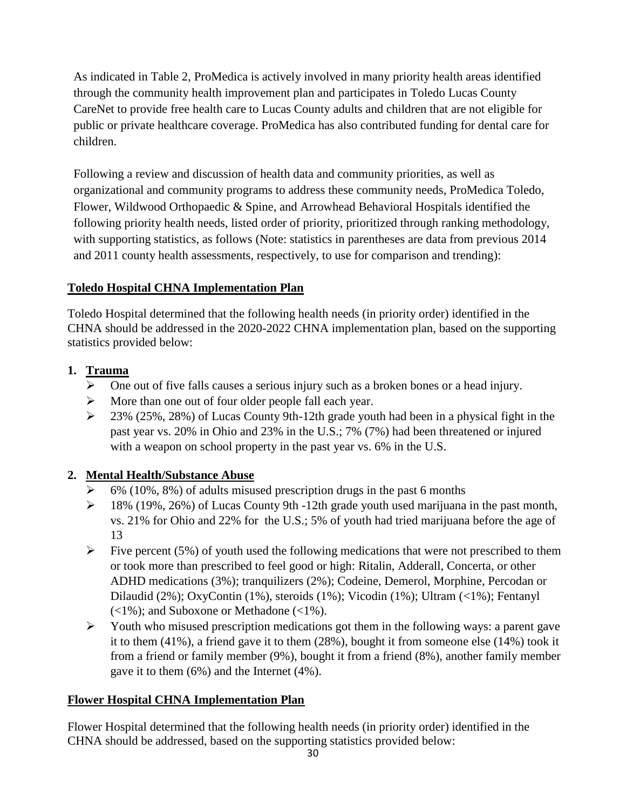As indicated in Table 2, ProMedica is actively involved in many priority health areas identified through the community health improvement plan and participates in Toledo Lucas County CareNet to provide free health care to Lucas County adults and children that are not eligible for public or private healthcare coverage. ProMedica has also contributed funding for dental care for children.

Following a review and discussion of health data and community priorities, as well as organizational and community programs to address these community needs, ProMedica Toledo, Flower, Wildwood Orthopaedic & Spine, and Arrowhead Behavioral Hospitals identified the following priority health needs, listed order of priority, prioritized through ranking methodology, with supporting statistics, as follows (Note: statistics in parentheses are data from previous 2014 and 2011 county health assessments, respectively, to use for comparison and trending):

### **Toledo Hospital CHNA Implementation Plan**

Toledo Hospital determined that the following health needs (in priority order) identified in the CHNA should be addressed in the 2020-2022 CHNA implementation plan, based on the supporting statistics provided below:

# **1. Trauma**

- $\triangleright$  One out of five falls causes a serious injury such as a broken bones or a head injury.
- $\triangleright$  More than one out of four older people fall each year.
- $\geq$  23% (25%, 28%) of Lucas County 9th-12th grade youth had been in a physical fight in the past year vs. 20% in Ohio and 23% in the U.S.; 7% (7%) had been threatened or injured with a weapon on school property in the past year vs. 6% in the U.S.

# **2. Mental Health/Substance Abuse**

- 6% (10%, 8%) of adults misused prescription drugs in the past 6 months
- $\geq$  18% (19%, 26%) of Lucas County 9th -12th grade youth used marijuana in the past month, vs. 21% for Ohio and 22% for the U.S.; 5% of youth had tried marijuana before the age of 13
- $\triangleright$  Five percent (5%) of youth used the following medications that were not prescribed to them or took more than prescribed to feel good or high: Ritalin, Adderall, Concerta, or other ADHD medications (3%); tranquilizers (2%); Codeine, Demerol, Morphine, Percodan or Dilaudid (2%); OxyContin (1%), steroids (1%); Vicodin (1%); Ultram (<1%); Fentanyl  $(<1\%)$ ; and Suboxone or Methadone  $(<1\%)$ .
- $\triangleright$  Youth who misused prescription medications got them in the following ways: a parent gave it to them (41%), a friend gave it to them (28%), bought it from someone else (14%) took it from a friend or family member (9%), bought it from a friend (8%), another family member gave it to them (6%) and the Internet (4%).

# **Flower Hospital CHNA Implementation Plan**

Flower Hospital determined that the following health needs (in priority order) identified in the CHNA should be addressed, based on the supporting statistics provided below: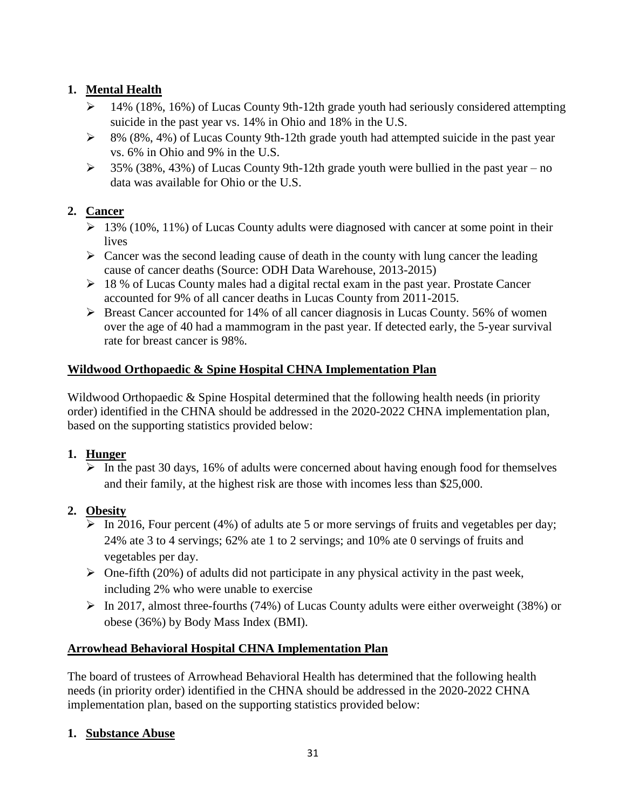# **1. Mental Health**

- $\geq 14\%$  (18%, 16%) of Lucas County 9th-12th grade youth had seriously considered attempting suicide in the past year vs. 14% in Ohio and 18% in the U.S.
- $\geq$  8% (8%, 4%) of Lucas County 9th-12th grade youth had attempted suicide in the past year vs. 6% in Ohio and 9% in the U.S.
- $\geq$  35% (38%, 43%) of Lucas County 9th-12th grade youth were bullied in the past year no data was available for Ohio or the U.S.

# **2. Cancer**

- $\geq 13\%$  (10%, 11%) of Lucas County adults were diagnosed with cancer at some point in their lives
- $\triangleright$  Cancer was the second leading cause of death in the county with lung cancer the leading cause of cancer deaths (Source: ODH Data Warehouse, 2013-2015)
- $\geq 18$  % of Lucas County males had a digital rectal exam in the past year. Prostate Cancer accounted for 9% of all cancer deaths in Lucas County from 2011-2015.
- $\triangleright$  Breast Cancer accounted for 14% of all cancer diagnosis in Lucas County. 56% of women over the age of 40 had a mammogram in the past year. If detected early, the 5-year survival rate for breast cancer is 98%.

# **Wildwood Orthopaedic & Spine Hospital CHNA Implementation Plan**

Wildwood Orthopaedic & Spine Hospital determined that the following health needs (in priority order) identified in the CHNA should be addressed in the 2020-2022 CHNA implementation plan, based on the supporting statistics provided below:

# **1. Hunger**

 $\triangleright$  In the past 30 days, 16% of adults were concerned about having enough food for themselves and their family, at the highest risk are those with incomes less than \$25,000.

# **2. Obesity**

- $\triangleright$  In 2016, Four percent (4%) of adults ate 5 or more servings of fruits and vegetables per day; 24% ate 3 to 4 servings; 62% ate 1 to 2 servings; and 10% ate 0 servings of fruits and vegetables per day.
- $\triangleright$  One-fifth (20%) of adults did not participate in any physical activity in the past week, including 2% who were unable to exercise
- $\triangleright$  In 2017, almost three-fourths (74%) of Lucas County adults were either overweight (38%) or obese (36%) by Body Mass Index (BMI).

# **Arrowhead Behavioral Hospital CHNA Implementation Plan**

The board of trustees of Arrowhead Behavioral Health has determined that the following health needs (in priority order) identified in the CHNA should be addressed in the 2020-2022 CHNA implementation plan, based on the supporting statistics provided below:

# **1. Substance Abuse**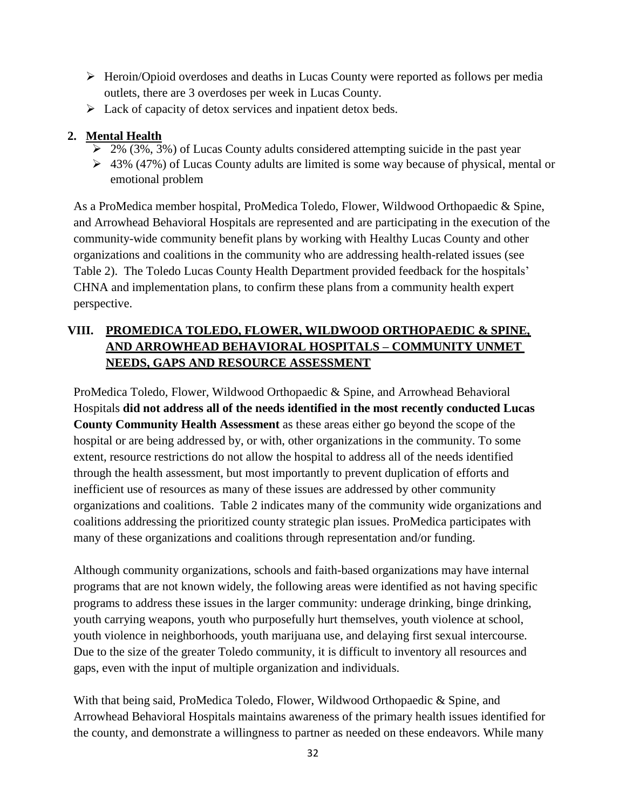- $\triangleright$  Heroin/Opioid overdoses and deaths in Lucas County were reported as follows per media outlets, there are 3 overdoses per week in Lucas County.
- $\triangleright$  Lack of capacity of detox services and inpatient detox beds.

### **2. Mental Health**

- $\geq 2\%$  (3%, 3%) of Lucas County adults considered attempting suicide in the past year
- $\geq 43\%$  (47%) of Lucas County adults are limited is some way because of physical, mental or emotional problem

As a ProMedica member hospital, ProMedica Toledo, Flower, Wildwood Orthopaedic & Spine, and Arrowhead Behavioral Hospitals are represented and are participating in the execution of the community-wide community benefit plans by working with Healthy Lucas County and other organizations and coalitions in the community who are addressing health-related issues (see Table 2). The Toledo Lucas County Health Department provided feedback for the hospitals' CHNA and implementation plans, to confirm these plans from a community health expert perspective.

# **VIII. PROMEDICA TOLEDO, FLOWER, WILDWOOD ORTHOPAEDIC & SPINE, AND ARROWHEAD BEHAVIORAL HOSPITALS – COMMUNITY UNMET NEEDS, GAPS AND RESOURCE ASSESSMENT**

ProMedica Toledo, Flower, Wildwood Orthopaedic & Spine, and Arrowhead Behavioral Hospitals **did not address all of the needs identified in the most recently conducted Lucas County Community Health Assessment** as these areas either go beyond the scope of the hospital or are being addressed by, or with, other organizations in the community. To some extent, resource restrictions do not allow the hospital to address all of the needs identified through the health assessment, but most importantly to prevent duplication of efforts and inefficient use of resources as many of these issues are addressed by other community organizations and coalitions. Table 2 indicates many of the community wide organizations and coalitions addressing the prioritized county strategic plan issues. ProMedica participates with many of these organizations and coalitions through representation and/or funding.

Although community organizations, schools and faith-based organizations may have internal programs that are not known widely, the following areas were identified as not having specific programs to address these issues in the larger community: underage drinking, binge drinking, youth carrying weapons, youth who purposefully hurt themselves, youth violence at school, youth violence in neighborhoods, youth marijuana use, and delaying first sexual intercourse. Due to the size of the greater Toledo community, it is difficult to inventory all resources and gaps, even with the input of multiple organization and individuals.

With that being said, ProMedica Toledo, Flower, Wildwood Orthopaedic & Spine, and Arrowhead Behavioral Hospitals maintains awareness of the primary health issues identified for the county, and demonstrate a willingness to partner as needed on these endeavors. While many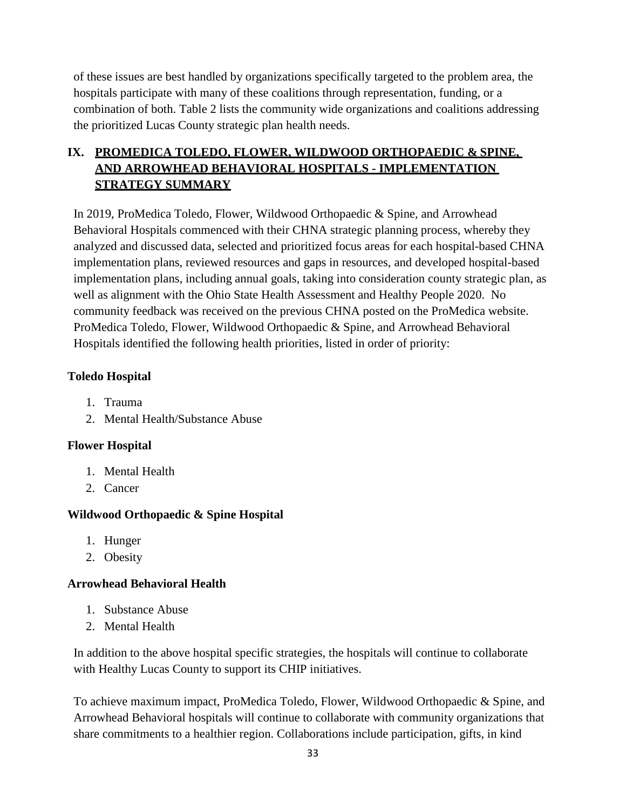of these issues are best handled by organizations specifically targeted to the problem area, the hospitals participate with many of these coalitions through representation, funding, or a combination of both. Table 2 lists the community wide organizations and coalitions addressing the prioritized Lucas County strategic plan health needs.

# **IX. PROMEDICA TOLEDO, FLOWER, WILDWOOD ORTHOPAEDIC & SPINE, AND ARROWHEAD BEHAVIORAL HOSPITALS - IMPLEMENTATION STRATEGY SUMMARY**

In 2019, ProMedica Toledo, Flower, Wildwood Orthopaedic & Spine, and Arrowhead Behavioral Hospitals commenced with their CHNA strategic planning process, whereby they analyzed and discussed data, selected and prioritized focus areas for each hospital-based CHNA implementation plans, reviewed resources and gaps in resources, and developed hospital-based implementation plans, including annual goals, taking into consideration county strategic plan, as well as alignment with the Ohio State Health Assessment and Healthy People 2020. No community feedback was received on the previous CHNA posted on the ProMedica website. ProMedica Toledo, Flower, Wildwood Orthopaedic & Spine, and Arrowhead Behavioral Hospitals identified the following health priorities, listed in order of priority:

### **Toledo Hospital**

- 1. Trauma
- 2. Mental Health/Substance Abuse

# **Flower Hospital**

- 1. Mental Health
- 2. Cancer

# **Wildwood Orthopaedic & Spine Hospital**

- 1. Hunger
- 2. Obesity

# **Arrowhead Behavioral Health**

- 1. Substance Abuse
- 2. Mental Health

In addition to the above hospital specific strategies, the hospitals will continue to collaborate with Healthy Lucas County to support its CHIP initiatives.

To achieve maximum impact, ProMedica Toledo, Flower, Wildwood Orthopaedic & Spine, and Arrowhead Behavioral hospitals will continue to collaborate with community organizations that share commitments to a healthier region. Collaborations include participation, gifts, in kind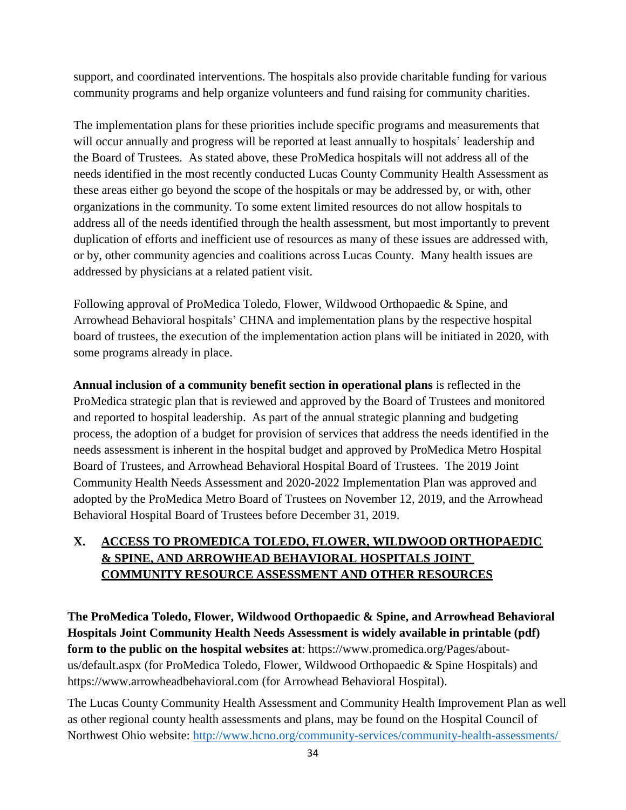support, and coordinated interventions. The hospitals also provide charitable funding for various community programs and help organize volunteers and fund raising for community charities.

The implementation plans for these priorities include specific programs and measurements that will occur annually and progress will be reported at least annually to hospitals' leadership and the Board of Trustees. As stated above, these ProMedica hospitals will not address all of the needs identified in the most recently conducted Lucas County Community Health Assessment as these areas either go beyond the scope of the hospitals or may be addressed by, or with, other organizations in the community. To some extent limited resources do not allow hospitals to address all of the needs identified through the health assessment, but most importantly to prevent duplication of efforts and inefficient use of resources as many of these issues are addressed with, or by, other community agencies and coalitions across Lucas County. Many health issues are addressed by physicians at a related patient visit.

Following approval of ProMedica Toledo, Flower, Wildwood Orthopaedic & Spine, and Arrowhead Behavioral hospitals' CHNA and implementation plans by the respective hospital board of trustees, the execution of the implementation action plans will be initiated in 2020, with some programs already in place.

**Annual inclusion of a community benefit section in operational plans** is reflected in the ProMedica strategic plan that is reviewed and approved by the Board of Trustees and monitored and reported to hospital leadership. As part of the annual strategic planning and budgeting process, the adoption of a budget for provision of services that address the needs identified in the needs assessment is inherent in the hospital budget and approved by ProMedica Metro Hospital Board of Trustees, and Arrowhead Behavioral Hospital Board of Trustees. The 2019 Joint Community Health Needs Assessment and 2020-2022 Implementation Plan was approved and adopted by the ProMedica Metro Board of Trustees on November 12, 2019, and the Arrowhead Behavioral Hospital Board of Trustees before December 31, 2019.

# **X. ACCESS TO PROMEDICA TOLEDO, FLOWER, WILDWOOD ORTHOPAEDIC & SPINE, AND ARROWHEAD BEHAVIORAL HOSPITALS JOINT COMMUNITY RESOURCE ASSESSMENT AND OTHER RESOURCES**

**The ProMedica Toledo, Flower, Wildwood Orthopaedic & Spine, and Arrowhead Behavioral Hospitals Joint Community Health Needs Assessment is widely available in printable (pdf) form to the public on the hospital websites at**: [https://www.promedica.org/Pages/about](https://www.promedica.org/Pages/about-us/default.aspx)[us/default.aspx](https://www.promedica.org/Pages/about-us/default.aspx) (for ProMedica Toledo, Flower, Wildwood Orthopaedic & Spine Hospitals) and https://www.arrowheadbehavioral.com (for Arrowhead Behavioral Hospital).

The Lucas County Community Health Assessment and Community Health Improvement Plan as well as other regional county health assessments and plans, may be found on the Hospital Council of Northwest Ohio website: <http://www.hcno.org/community-services/community-health-assessments/>